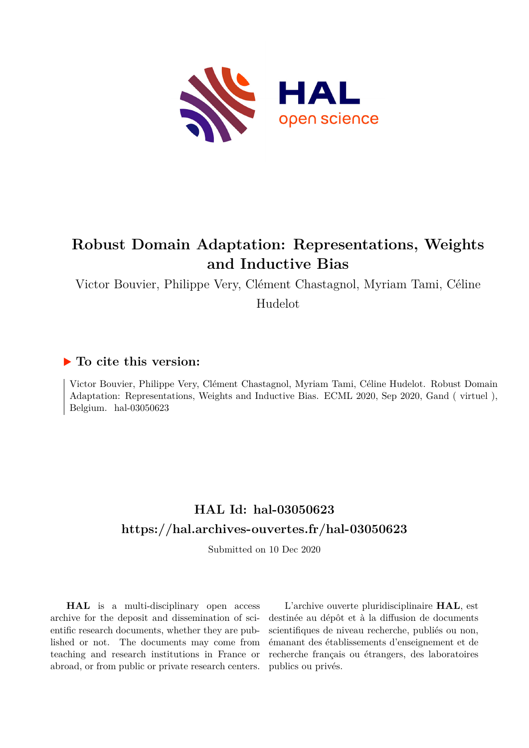

# **Robust Domain Adaptation: Representations, Weights and Inductive Bias**

Victor Bouvier, Philippe Very, Clément Chastagnol, Myriam Tami, Céline

Hudelot

## **To cite this version:**

Victor Bouvier, Philippe Very, Clément Chastagnol, Myriam Tami, Céline Hudelot. Robust Domain Adaptation: Representations, Weights and Inductive Bias. ECML 2020, Sep 2020, Gand ( virtuel ), Belgium. hal-03050623

# **HAL Id: hal-03050623 <https://hal.archives-ouvertes.fr/hal-03050623>**

Submitted on 10 Dec 2020

**HAL** is a multi-disciplinary open access archive for the deposit and dissemination of scientific research documents, whether they are published or not. The documents may come from teaching and research institutions in France or abroad, or from public or private research centers.

L'archive ouverte pluridisciplinaire **HAL**, est destinée au dépôt et à la diffusion de documents scientifiques de niveau recherche, publiés ou non, émanant des établissements d'enseignement et de recherche français ou étrangers, des laboratoires publics ou privés.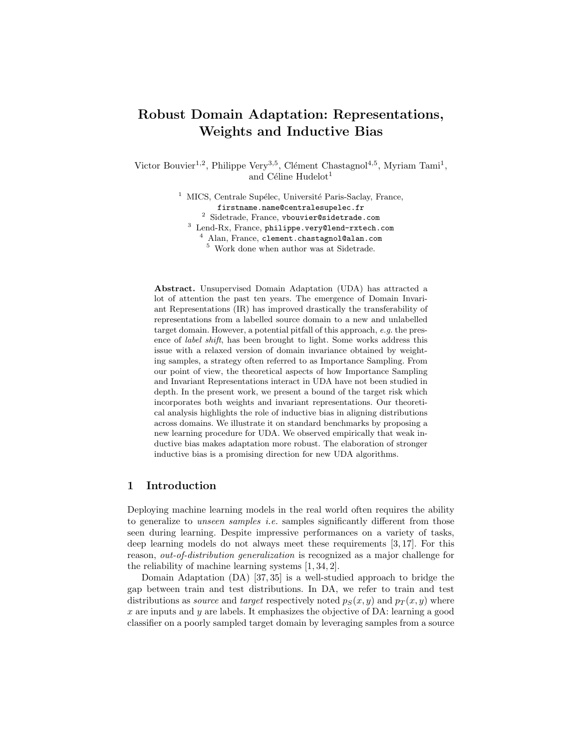## Robust Domain Adaptation: Representations, Weights and Inductive Bias

Victor Bouvier<sup>1,2</sup>, Philippe Very<sup>3,5</sup>, Clément Chastagnol<sup>4,5</sup>, Myriam Tami<sup>1</sup>, and Céline  $Hudelot<sup>1</sup>$ 

> $<sup>1</sup>$  MICS, Centrale Supélec, Université Paris-Saclay, France,</sup> firstname.name@centralesupelec.fr Sidetrade, France, vbouvier@sidetrade.com Lend-Rx, France, philippe.very@lend-rxtech.com Alan, France, clement.chastagnol@alan.com Work done when author was at Sidetrade.

Abstract. Unsupervised Domain Adaptation (UDA) has attracted a lot of attention the past ten years. The emergence of Domain Invariant Representations (IR) has improved drastically the transferability of representations from a labelled source domain to a new and unlabelled target domain. However, a potential pitfall of this approach, e.g. the presence of label shift, has been brought to light. Some works address this issue with a relaxed version of domain invariance obtained by weighting samples, a strategy often referred to as Importance Sampling. From our point of view, the theoretical aspects of how Importance Sampling and Invariant Representations interact in UDA have not been studied in depth. In the present work, we present a bound of the target risk which incorporates both weights and invariant representations. Our theoretical analysis highlights the role of inductive bias in aligning distributions across domains. We illustrate it on standard benchmarks by proposing a new learning procedure for UDA. We observed empirically that weak inductive bias makes adaptation more robust. The elaboration of stronger inductive bias is a promising direction for new UDA algorithms.

## 1 Introduction

Deploying machine learning models in the real world often requires the ability to generalize to *unseen samples i.e.* samples significantly different from those seen during learning. Despite impressive performances on a variety of tasks, deep learning models do not always meet these requirements [3, 17]. For this reason, out-of-distribution generalization is recognized as a major challenge for the reliability of machine learning systems [1, 34, 2].

Domain Adaptation (DA) [37, 35] is a well-studied approach to bridge the gap between train and test distributions. In DA, we refer to train and test distributions as *source* and *target* respectively noted  $p_S(x, y)$  and  $p_T(x, y)$  where  $x$  are inputs and  $y$  are labels. It emphasizes the objective of DA: learning a good classifier on a poorly sampled target domain by leveraging samples from a source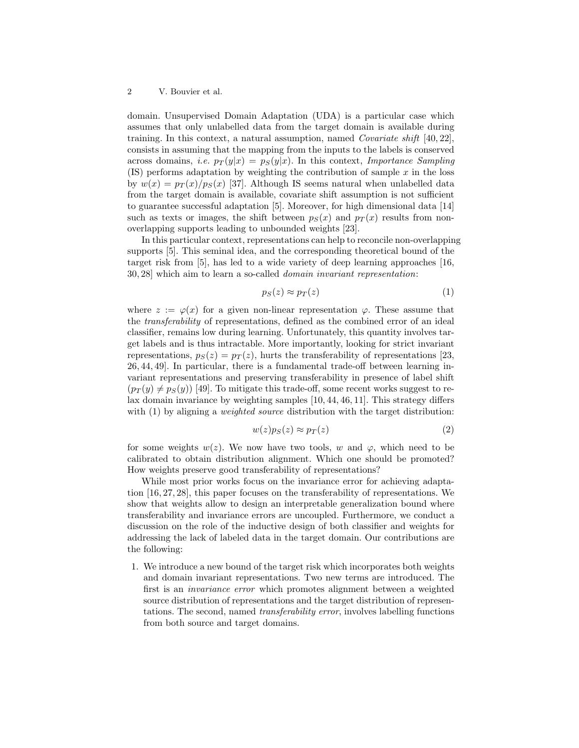domain. Unsupervised Domain Adaptation (UDA) is a particular case which assumes that only unlabelled data from the target domain is available during training. In this context, a natural assumption, named *Covariate shift* [40, 22], consists in assuming that the mapping from the inputs to the labels is conserved across domains, *i.e.*  $p_T(y|x) = p_S(y|x)$ . In this context, *Importance Sampling*  $(IS)$  performs adaptation by weighting the contribution of sample x in the loss by  $w(x) = p<sub>T</sub>(x)/p<sub>S</sub>(x)$  [37]. Although IS seems natural when unlabelled data from the target domain is available, covariate shift assumption is not sufficient to guarantee successful adaptation [5]. Moreover, for high dimensional data [14] such as texts or images, the shift between  $p_S(x)$  and  $p_T(x)$  results from nonoverlapping supports leading to unbounded weights [23].

In this particular context, representations can help to reconcile non-overlapping supports [5]. This seminal idea, and the corresponding theoretical bound of the target risk from [5], has led to a wide variety of deep learning approaches [16, 30, 28] which aim to learn a so-called domain invariant representation:

$$
p_S(z) \approx p_T(z) \tag{1}
$$

where  $z := \varphi(x)$  for a given non-linear representation  $\varphi$ . These assume that the transferability of representations, defined as the combined error of an ideal classifier, remains low during learning. Unfortunately, this quantity involves target labels and is thus intractable. More importantly, looking for strict invariant representations,  $p_S(z) = p_T(z)$ , hurts the transferability of representations [23, 26, 44, 49]. In particular, there is a fundamental trade-off between learning invariant representations and preserving transferability in presence of label shift  $(p_T(y) \neq p_S(y))$  [49]. To mitigate this trade-off, some recent works suggest to relax domain invariance by weighting samples [10, 44, 46, 11]. This strategy differs with  $(1)$  by aligning a *weighted source* distribution with the target distribution:

$$
w(z)p_S(z) \approx p_T(z) \tag{2}
$$

for some weights  $w(z)$ . We now have two tools, w and  $\varphi$ , which need to be calibrated to obtain distribution alignment. Which one should be promoted? How weights preserve good transferability of representations?

While most prior works focus on the invariance error for achieving adaptation [16, 27, 28], this paper focuses on the transferability of representations. We show that weights allow to design an interpretable generalization bound where transferability and invariance errors are uncoupled. Furthermore, we conduct a discussion on the role of the inductive design of both classifier and weights for addressing the lack of labeled data in the target domain. Our contributions are the following:

1. We introduce a new bound of the target risk which incorporates both weights and domain invariant representations. Two new terms are introduced. The first is an invariance error which promotes alignment between a weighted source distribution of representations and the target distribution of representations. The second, named transferability error, involves labelling functions from both source and target domains.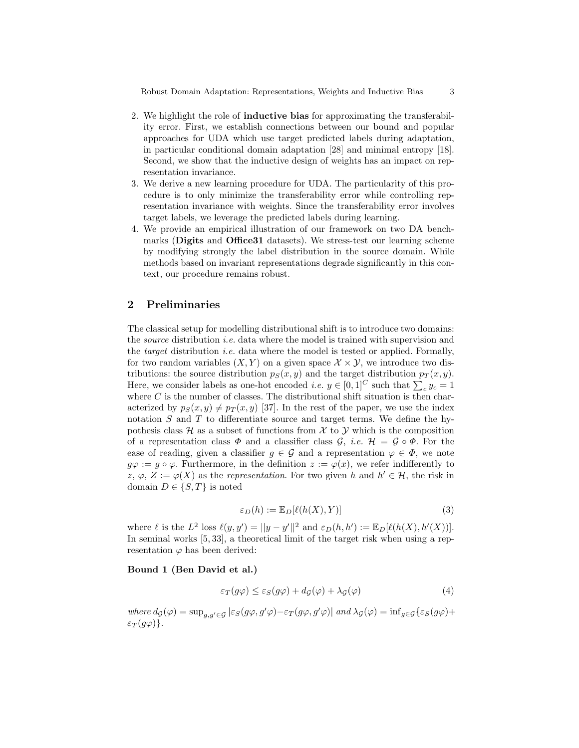Robust Domain Adaptation: Representations, Weights and Inductive Bias 3

- 2. We highlight the role of inductive bias for approximating the transferability error. First, we establish connections between our bound and popular approaches for UDA which use target predicted labels during adaptation, in particular conditional domain adaptation [28] and minimal entropy [18]. Second, we show that the inductive design of weights has an impact on representation invariance.
- 3. We derive a new learning procedure for UDA. The particularity of this procedure is to only minimize the transferability error while controlling representation invariance with weights. Since the transferability error involves target labels, we leverage the predicted labels during learning.
- 4. We provide an empirical illustration of our framework on two DA benchmarks (Digits and Office31 datasets). We stress-test our learning scheme by modifying strongly the label distribution in the source domain. While methods based on invariant representations degrade significantly in this context, our procedure remains robust.

## 2 Preliminaries

The classical setup for modelling distributional shift is to introduce two domains: the *source* distribution *i.e.* data where the model is trained with supervision and the *target* distribution *i.e.* data where the model is tested or applied. Formally, for two random variables  $(X, Y)$  on a given space  $\mathcal{X} \times \mathcal{Y}$ , we introduce two distributions: the source distribution  $p_S(x, y)$  and the target distribution  $p_T(x, y)$ . Here, we consider labels as one-hot encoded *i.e.*  $y \in [0,1]^C$  such that  $\sum_c y_c = 1$ where  $C$  is the number of classes. The distributional shift situation is then characterized by  $p_S(x, y) \neq p_T(x, y)$  [37]. In the rest of the paper, we use the index notation  $S$  and  $T$  to differentiate source and target terms. We define the hypothesis class  $\mathcal H$  as a subset of functions from  $\mathcal X$  to  $\mathcal Y$  which is the composition of a representation class  $\Phi$  and a classifier class  $\mathcal{G}, i.e.$   $\mathcal{H} = \mathcal{G} \circ \Phi$ . For the ease of reading, given a classifier  $g \in \mathcal{G}$  and a representation  $\varphi \in \Phi$ , we note  $g\varphi := g \circ \varphi$ . Furthermore, in the definition  $z := \varphi(x)$ , we refer indifferently to z,  $\varphi$ ,  $Z := \varphi(X)$  as the *representation*. For two given h and  $h' \in \mathcal{H}$ , the risk in domain  $D \in \{S, T\}$  is noted

$$
\varepsilon_D(h) := \mathbb{E}_D[\ell(h(X), Y)]\tag{3}
$$

where  $\ell$  is the  $L^2$  loss  $\ell(y, y') = ||y - y'||^2$  and  $\varepsilon_D(h, h') := \mathbb{E}_D[\ell(h(X), h'(X))].$ In seminal works [5, 33], a theoretical limit of the target risk when using a representation  $\varphi$  has been derived:

#### Bound 1 (Ben David et al.)

$$
\varepsilon_T(g\varphi) \le \varepsilon_S(g\varphi) + d_{\mathcal{G}}(\varphi) + \lambda_{\mathcal{G}}(\varphi)
$$
\n<sup>(4)</sup>

where  $d_{\mathcal{G}}(\varphi) = \sup_{g,g' \in \mathcal{G}} |\varepsilon_{S}(g\varphi, g'\varphi) - \varepsilon_{T}(g\varphi, g'\varphi)|$  and  $\lambda_{\mathcal{G}}(\varphi) = \inf_{g \in \mathcal{G}} \{\varepsilon_{S}(g\varphi) +$  $\varepsilon_T(g\varphi)\}.$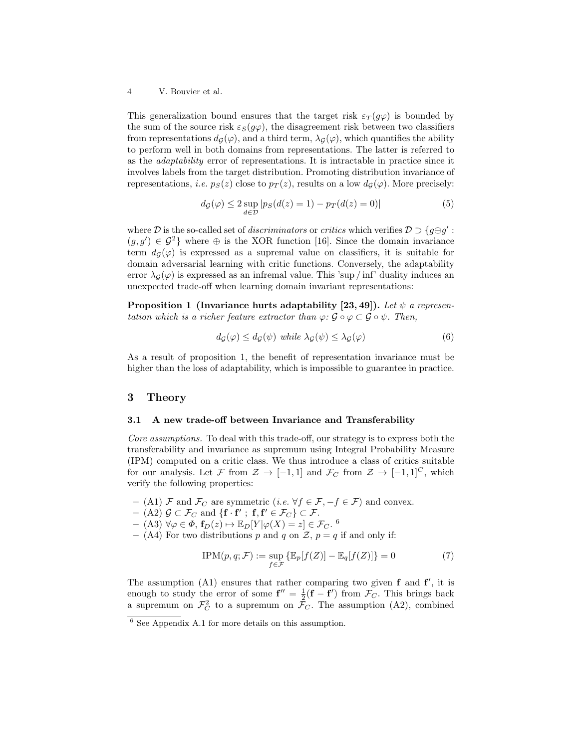This generalization bound ensures that the target risk  $\varepsilon_T(g\varphi)$  is bounded by the sum of the source risk  $\varepsilon_S(g\varphi)$ , the disagreement risk between two classifiers from representations  $d_{\mathcal{G}}(\varphi)$ , and a third term,  $\lambda_{\mathcal{G}}(\varphi)$ , which quantifies the ability to perform well in both domains from representations. The latter is referred to as the adaptability error of representations. It is intractable in practice since it involves labels from the target distribution. Promoting distribution invariance of representations, *i.e.*  $p_S(z)$  close to  $p_T(z)$ , results on a low  $d_G(\varphi)$ . More precisely:

$$
d_{\mathcal{G}}(\varphi) \le 2 \sup_{d \in \mathcal{D}} |p_{S}(d(z) = 1) - p_{T}(d(z) = 0)| \tag{5}
$$

where D is the so-called set of *discriminators* or *critics* which verifies  $D \supset \{g \oplus g' :$  $(g, g') \in \mathcal{G}^2$  where  $\oplus$  is the XOR function [16]. Since the domain invariance term  $d_{\mathcal{G}}(\varphi)$  is expressed as a supremal value on classifiers, it is suitable for domain adversarial learning with critic functions. Conversely, the adaptability error  $\lambda_{\mathcal{G}}(\varphi)$  is expressed as an infremal value. This 'sup / inf' duality induces an unexpected trade-off when learning domain invariant representations:

**Proposition 1 (Invariance hurts adaptability [23, 49]).** Let  $\psi$  a representation which is a richer feature extractor than  $\varphi: \mathcal{G} \circ \varphi \subset \mathcal{G} \circ \psi$ . Then,

$$
d_{\mathcal{G}}(\varphi) \le d_{\mathcal{G}}(\psi) \text{ while } \lambda_{\mathcal{G}}(\psi) \le \lambda_{\mathcal{G}}(\varphi) \tag{6}
$$

As a result of proposition 1, the benefit of representation invariance must be higher than the loss of adaptability, which is impossible to guarantee in practice.

## 3 Theory

#### 3.1 A new trade-off between Invariance and Transferability

Core assumptions. To deal with this trade-off, our strategy is to express both the transferability and invariance as supremum using Integral Probability Measure (IPM) computed on a critic class. We thus introduce a class of critics suitable for our analysis. Let F from  $\mathcal{Z} \to [-1,1]$  and  $\mathcal{F}_C$  from  $\mathcal{Z} \to [-1,1]^C$ , which verify the following properties:

- (A1) F and  $\mathcal{F}_C$  are symmetric (*i.e.*  $\forall f \in \mathcal{F}, -f \in \mathcal{F}$ ) and convex.
- $-$  (A2)  $\mathcal{G} \subset \mathcal{F}_C$  and  $\{ \mathbf{f} \cdot \mathbf{f}' ; \ \mathbf{f}, \mathbf{f}' \in \mathcal{F}_C \} \subset \mathcal{F}.$

 $-$  (A3)  $\forall \varphi \in \Phi$ ,  $\mathbf{f}_D(z) \mapsto \mathbb{E}_D[Y|\varphi(X) = z] \in \mathcal{F}_C$ . <sup>6</sup>

– (A4) For two distributions p and q on  $\mathcal{Z}$ ,  $p = q$  if and only if:

$$
IPM(p, q; \mathcal{F}) := \sup_{f \in \mathcal{F}} \left\{ \mathbb{E}_p[f(Z)] - \mathbb{E}_q[f(Z)] \right\} = 0 \tag{7}
$$

The assumption  $(A1)$  ensures that rather comparing two given  $f$  and  $f'$ , it is enough to study the error of some  $f'' = \frac{1}{2}(f - f')$  from  $\mathcal{F}_C$ . This brings back a supremum on  $\mathcal{F}_C^2$  to a supremum on  $\mathcal{F}_C$ . The assumption (A2), combined

 $6$  See Appendix A.1 for more details on this assumption.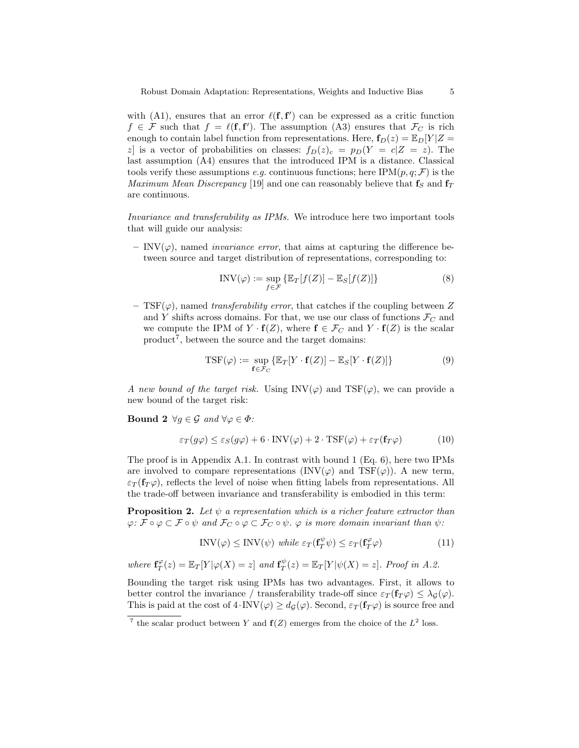with (A1), ensures that an error  $\ell(f, f')$  can be expressed as a critic function  $f \in \mathcal{F}$  such that  $f = \ell(f, f')$ . The assumption (A3) ensures that  $\mathcal{F}_C$  is rich enough to contain label function from representations. Here,  $f_D(z) = \mathbb{E}_D[Y|Z =$ z] is a vector of probabilities on classes:  $f_D(z)_c = p_D(Y = c|Z = z)$ . The last assumption (A4) ensures that the introduced IPM is a distance. Classical tools verify these assumptions e.g. continuous functions; here IPM $(p, q; \mathcal{F})$  is the *Maximum Mean Discrepancy* [19] and one can reasonably believe that  $f_S$  and  $f_T$ are continuous.

Invariance and transferability as IPMs. We introduce here two important tools that will guide our analysis:

– INV( $\varphi$ ), named *invariance error*, that aims at capturing the difference between source and target distribution of representations, corresponding to:

$$
INV(\varphi) := \sup_{f \in \mathcal{F}} \left\{ \mathbb{E}_T[f(Z)] - \mathbb{E}_S[f(Z)] \right\}
$$
 (8)

– TSF( $\varphi$ ), named transferability error, that catches if the coupling between Z and Y shifts across domains. For that, we use our class of functions  $\mathcal{F}_C$  and we compute the IPM of  $Y \cdot f(Z)$ , where  $f \in \mathcal{F}_C$  and  $Y \cdot f(Z)$  is the scalar  $product<sup>7</sup>$ , between the source and the target domains:

$$
TSF(\varphi) := \sup_{\mathbf{f} \in \mathcal{F}_C} \{ \mathbb{E}_T[Y \cdot \mathbf{f}(Z)] - \mathbb{E}_S[Y \cdot \mathbf{f}(Z)] \}
$$
(9)

A new bound of the target risk. Using  $INV(\varphi)$  and  $TSF(\varphi)$ , we can provide a new bound of the target risk:

**Bound 2**  $\forall g \in \mathcal{G}$  and  $\forall \varphi \in \Phi$ :

$$
\varepsilon_T(g\varphi) \le \varepsilon_S(g\varphi) + 6 \cdot \text{INV}(\varphi) + 2 \cdot \text{TSF}(\varphi) + \varepsilon_T(\mathbf{f}_T\varphi)
$$
(10)

The proof is in Appendix A.1. In contrast with bound 1 (Eq. 6), here two IPMs are involved to compare representations (INV $(\varphi)$  and TSF $(\varphi)$ ). A new term,  $\varepsilon_T$  ( $f_T \varphi$ ), reflects the level of noise when fitting labels from representations. All the trade-off between invariance and transferability is embodied in this term:

**Proposition 2.** Let  $\psi$  a representation which is a richer feature extractor than  $\varphi: \mathcal{F} \circ \varphi \subset \mathcal{F} \circ \psi$  and  $\mathcal{F}_C \circ \varphi \subset \mathcal{F}_C \circ \psi$ .  $\varphi$  is more domain invariant than  $\psi$ :

$$
INV(\varphi) \leq INV(\psi) \text{ while } \varepsilon_T(\mathbf{f}_T^{\psi}\psi) \leq \varepsilon_T(\mathbf{f}_T^{\varphi}\varphi) \tag{11}
$$

where 
$$
\mathbf{f}_T^{\varphi}(z) = \mathbb{E}_T[Y|\varphi(X) = z]
$$
 and  $\mathbf{f}_T^{\psi}(z) = \mathbb{E}_T[Y|\psi(X) = z]$ . Proof in A.2.

Bounding the target risk using IPMs has two advantages. First, it allows to better control the invariance / transferability trade-off since  $\varepsilon_T(f_T\varphi) \leq \lambda_{\mathcal{G}}(\varphi)$ . This is paid at the cost of  $4\cdot \text{INV}(\varphi) \geq d_G(\varphi)$ . Second,  $\varepsilon_T(\mathbf{f}_T\varphi)$  is source free and

<sup>&</sup>lt;sup>7</sup> the scalar product between Y and  $f(Z)$  emerges from the choice of the  $L^2$  loss.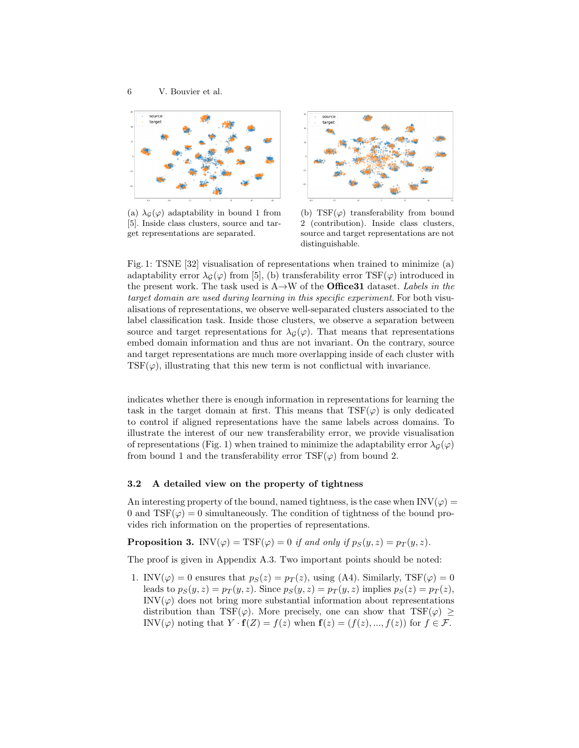

(a)  $\lambda_{\mathcal{G}}(\varphi)$  adaptability in bound 1 from [5]. Inside class clusters, source and target representations are separated.



(b)  $TSF(\varphi)$  transferability from bound 2 (contribution). Inside class clusters, source and target representations are not distinguishable.

Fig. 1: TSNE [32] visualisation of representations when trained to minimize (a) adaptability error  $\lambda_{\mathcal{G}}(\varphi)$  from [5], (b) transferability error TSF( $\varphi$ ) introduced in the present work. The task used is  $A \rightarrow W$  of the **Office31** dataset. Labels in the target domain are used during learning in this specific experiment. For both visualisations of representations, we observe well-separated clusters associated to the label classification task. Inside those clusters, we observe a separation between source and target representations for  $\lambda_{\mathcal{G}}(\varphi)$ . That means that representations embed domain information and thus are not invariant. On the contrary, source and target representations are much more overlapping inside of each cluster with  $TSF(\varphi)$ , illustrating that this new term is not conflictual with invariance.

indicates whether there is enough information in representations for learning the task in the target domain at first. This means that  $\text{TSF}(\varphi)$  is only dedicated to control if aligned representations have the same labels across domains. To illustrate the interest of our new transferability error, we provide visualisation of representations (Fig. 1) when trained to minimize the adaptability error  $\lambda_G(\varphi)$ from bound 1 and the transferability error  $\text{TSF}(\varphi)$  from bound 2.

#### 3.2 A detailed view on the property of tightness

An interesting property of the bound, named tightness, is the case when  $INV(\varphi) =$ 0 and  $TSF(\varphi) = 0$  simultaneously. The condition of tightness of the bound provides rich information on the properties of representations.

**Proposition 3.** INV( $\varphi$ ) = TSF( $\varphi$ ) = 0 if and only if  $p_S(y, z) = p_T(y, z)$ .

The proof is given in Appendix A.3. Two important points should be noted:

1. INV( $\varphi$ ) = 0 ensures that  $p_S(z) = p_T(z)$ , using (A4). Similarly, TSF( $\varphi$ ) = 0 leads to  $p_S(y, z) = p_T(y, z)$ . Since  $p_S(y, z) = p_T(y, z)$  implies  $p_S(z) = p_T(z)$ ,  $\text{INV}(\varphi)$  does not bring more substantial information about representations distribution than TSF( $\varphi$ ). More precisely, one can show that TSF( $\varphi$ ) ≥ INV( $\varphi$ ) noting that  $Y \cdot \mathbf{f}(Z) = f(z)$  when  $\mathbf{f}(z) = (f(z), ..., f(z))$  for  $f \in \mathcal{F}$ .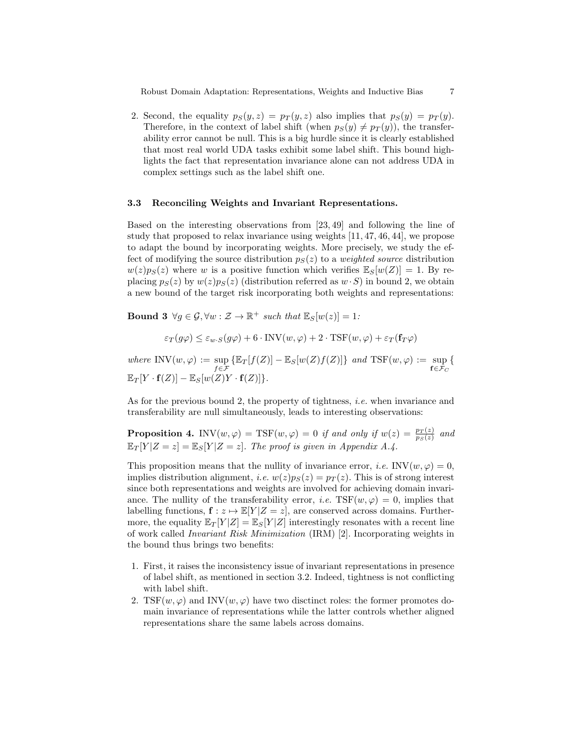Robust Domain Adaptation: Representations, Weights and Inductive Bias 7

2. Second, the equality  $p_S(y, z) = p_T(y, z)$  also implies that  $p_S(y) = p_T(y)$ . Therefore, in the context of label shift (when  $p_S(y) \neq p_T(y)$ ), the transferability error cannot be null. This is a big hurdle since it is clearly established that most real world UDA tasks exhibit some label shift. This bound highlights the fact that representation invariance alone can not address UDA in complex settings such as the label shift one.

#### 3.3 Reconciling Weights and Invariant Representations.

Based on the interesting observations from [23, 49] and following the line of study that proposed to relax invariance using weights [11, 47, 46, 44], we propose to adapt the bound by incorporating weights. More precisely, we study the effect of modifying the source distribution  $p<sub>S</sub>(z)$  to a weighted source distribution  $w(z)p<sub>S</sub>(z)$  where w is a positive function which verifies  $\mathbb{E}_{S}[w(Z)] = 1$ . By replacing  $p_S(z)$  by  $w(z)p_S(z)$  (distribution referred as  $w \cdot S$ ) in bound 2, we obtain a new bound of the target risk incorporating both weights and representations:

**Bound 3**  $\forall g \in \mathcal{G}, \forall w : \mathcal{Z} \to \mathbb{R}^+$  such that  $\mathbb{E}_S[w(z)] = 1$ :

$$
\varepsilon_T(g\varphi) \le \varepsilon_{w \cdot S}(g\varphi) + 6 \cdot \text{INV}(w, \varphi) + 2 \cdot \text{TSF}(w, \varphi) + \varepsilon_T(\mathbf{f}_T\varphi)
$$

where  $\text{INV}(w, \varphi) := \sup_{f \in \mathcal{F}} \{ \mathbb{E}_T[f(Z)] - \mathbb{E}_S[w(Z)f(Z)] \}$  and  $\text{TSF}(w, \varphi) := \sup_{f \in \mathcal{F}_C}$ {  $\mathbb{E}_T[Y\cdot\mathbf{f}(Z)]-\mathbb{E}_S[w(Z)Y\cdot\mathbf{f}(Z)]\}.$ 

As for the previous bound 2, the property of tightness, *i.e.* when invariance and transferability are null simultaneously, leads to interesting observations:

**Proposition 4.** INV $(w, \varphi)$  = TSF $(w, \varphi)$  = 0 if and only if  $w(z) = \frac{p_T(z)}{p_S(z)}$  and  $\mathbb{E}_T[Y|Z=z] = \mathbb{E}_S[Y|Z=z]$ . The proof is given in Appendix A.4.

This proposition means that the nullity of invariance error, *i.e.* INV $(w, \varphi) = 0$ , implies distribution alignment, *i.e.*  $w(z)p_S(z) = p_T(z)$ . This is of strong interest since both representations and weights are involved for achieving domain invariance. The nullity of the transferability error, *i.e.* TSF $(w, \varphi) = 0$ , implies that labelling functions,  $\mathbf{f} : z \mapsto \mathbb{E}[Y | Z = z]$ , are conserved across domains. Furthermore, the equality  $\mathbb{E}_T[Y|Z] = \mathbb{E}_S[Y|Z]$  interestingly resonates with a recent line of work called Invariant Risk Minimization (IRM) [2]. Incorporating weights in the bound thus brings two benefits:

- 1. First, it raises the inconsistency issue of invariant representations in presence of label shift, as mentioned in section 3.2. Indeed, tightness is not conflicting with label shift.
- 2. TSF $(w, \varphi)$  and INV $(w, \varphi)$  have two disctinct roles: the former promotes domain invariance of representations while the latter controls whether aligned representations share the same labels across domains.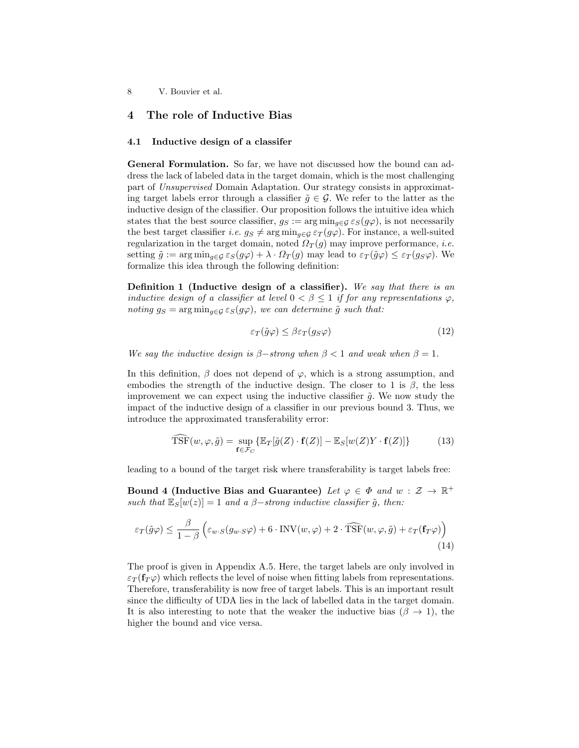## 4 The role of Inductive Bias

#### 4.1 Inductive design of a classifer

General Formulation. So far, we have not discussed how the bound can address the lack of labeled data in the target domain, which is the most challenging part of Unsupervised Domain Adaptation. Our strategy consists in approximating target labels error through a classifier  $\tilde{q} \in \mathcal{G}$ . We refer to the latter as the inductive design of the classifier. Our proposition follows the intuitive idea which states that the best source classifier,  $g_S := \arg \min_{g \in \mathcal{G}} \varepsilon_S(g\varphi)$ , is not necessarily the best target classifier *i.e.*  $g_S \neq \arg \min_{g \in \mathcal{G}} \varepsilon_T(g\varphi)$ . For instance, a well-suited regularization in the target domain, noted  $\Omega_T(g)$  may improve performance, *i.e.* setting  $\tilde{g} := \arg \min_{g \in \mathcal{G}} \varepsilon_S(g\varphi) + \lambda \cdot \Omega_T(g)$  may lead to  $\varepsilon_T(\tilde{g}\varphi) \leq \varepsilon_T(g_S\varphi)$ . We formalize this idea through the following definition:

Definition 1 (Inductive design of a classifier). We say that there is an inductive design of a classifier at level  $0 < \beta \leq 1$  if for any representations  $\varphi$ , noting  $g_S = \arg \min_{g \in \mathcal{G}} \varepsilon_S(g\varphi)$ , we can determine  $\tilde{g}$  such that:

$$
\varepsilon_T(\tilde{g}\varphi) \le \beta \varepsilon_T(g_S \varphi) \tag{12}
$$

We say the inductive design is  $\beta$ -strong when  $\beta$  < 1 and weak when  $\beta$  = 1.

In this definition,  $\beta$  does not depend of  $\varphi$ , which is a strong assumption, and embodies the strength of the inductive design. The closer to 1 is  $\beta$ , the less improvement we can expect using the inductive classifier  $\tilde{q}$ . We now study the impact of the inductive design of a classifier in our previous bound 3. Thus, we introduce the approximated transferability error:

$$
\widehat{\text{TSF}}(w,\varphi,\tilde{g}) = \sup_{\mathbf{f} \in \mathcal{F}_C} \{ \mathbb{E}_T[\tilde{g}(Z) \cdot \mathbf{f}(Z)] - \mathbb{E}_S[w(Z)Y \cdot \mathbf{f}(Z)] \}
$$
(13)

leading to a bound of the target risk where transferability is target labels free:

Bound 4 (Inductive Bias and Guarantee) Let  $\varphi \in \Phi$  and  $w : \mathcal{Z} \to \mathbb{R}^+$ such that  $\mathbb{E}_{S}[w(z)] = 1$  and a  $\beta$ -strong inductive classifier  $\tilde{g}$ , then:

$$
\varepsilon_T(\tilde{g}\varphi) \le \frac{\beta}{1-\beta} \left( \varepsilon_{w \cdot S}(g_{w \cdot S}\varphi) + 6 \cdot \text{INV}(w, \varphi) + 2 \cdot \widehat{\text{TSF}}(w, \varphi, \tilde{g}) + \varepsilon_T(\mathbf{f}_T \varphi) \right)
$$
(14)

The proof is given in Appendix A.5. Here, the target labels are only involved in  $\varepsilon_T(\mathbf{f}_T \varphi)$  which reflects the level of noise when fitting labels from representations. Therefore, transferability is now free of target labels. This is an important result since the difficulty of UDA lies in the lack of labelled data in the target domain. It is also interesting to note that the weaker the inductive bias ( $\beta \rightarrow 1$ ), the higher the bound and vice versa.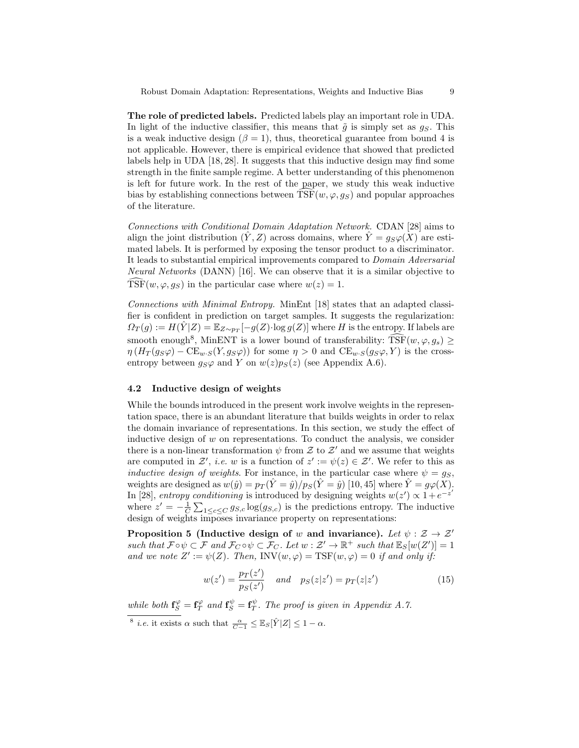The role of predicted labels. Predicted labels play an important role in UDA. In light of the inductive classifier, this means that  $\tilde{g}$  is simply set as  $g_S$ . This is a weak inductive design ( $\beta = 1$ ), thus, theoretical guarantee from bound 4 is not applicable. However, there is empirical evidence that showed that predicted labels help in UDA [18, 28]. It suggests that this inductive design may find some strength in the finite sample regime. A better understanding of this phenomenon is left for future work. In the rest of the paper, we study this weak inductive bias by establishing connections between  $\overline{\text{TSF}}(w, \varphi, g_S)$  and popular approaches of the literature.

Connections with Conditional Domain Adaptation Network. CDAN [28] aims to align the joint distribution  $(Y, Z)$  across domains, where  $\hat{Y} = g_S \varphi(X)$  are estimated labels. It is performed by exposing the tensor product to a discriminator. It leads to substantial empirical improvements compared to Domain Adversarial Neural Networks (DANN) [16]. We can observe that it is a similar objective to TSF( $w, \varphi, g_S$ ) in the particular case where  $w(z) = 1$ .

Connections with Minimal Entropy. MinEnt [18] states that an adapted classifier is confident in prediction on target samples. It suggests the regularization:  $\Omega_T(g) := H(\hat{Y}|Z) = \mathbb{E}_{Z \sim p_T}[-g(Z) \cdot \log g(Z)]$  where H is the entropy. If labels are smooth enough<sup>8</sup>, MinENT is a lower bound of transferability:  $\widehat{\text{TSF}}(w, \varphi, g_s) \ge$  $\eta (H_T(g_S\varphi) - \text{CE}_{w \cdot S}(Y, g_S\varphi))$  for some  $\eta > 0$  and  $\text{CE}_{w \cdot S}(g_S\varphi, Y)$  is the crossentropy between  $g_S\varphi$  and Y on  $w(z)p_S(z)$  (see Appendix A.6).

#### 4.2 Inductive design of weights

While the bounds introduced in the present work involve weights in the representation space, there is an abundant literature that builds weights in order to relax the domain invariance of representations. In this section, we study the effect of inductive design of  $w$  on representations. To conduct the analysis, we consider there is a non-linear transformation  $\psi$  from  $\mathcal Z$  to  $\mathcal Z'$  and we assume that weights are computed in Z', i.e. w is a function of  $z' := \psi(z) \in \mathcal{Z}'$ . We refer to this as inductive design of weights. For instance, in the particular case where  $\psi = g_S$ , weights are designed as  $w(\hat{y}) = p_T(\hat{Y} = \hat{y})/p_S(\hat{Y} = \hat{y})$  [10, 45] where  $\hat{Y} = g\varphi(X)$ . In [28], entropy conditioning is introduced by designing weights  $w(z') \propto 1 + e^{-z'}$ where  $z' = -\frac{1}{C} \sum_{1 \leq c \leq C} g_{S,c} \log(g_{S,c})$  is the predictions entropy. The inductive design of weights imposes invariance property on representations:

Proposition 5 (Inductive design of w and invariance). Let  $\psi : \mathcal{Z} \to \mathcal{Z}'$ such that  $\mathcal{F} \circ \psi \subset \mathcal{F}$  and  $\mathcal{F}_C \circ \psi \subset \mathcal{F}_C$ . Let  $w : \mathcal{Z}' \to \mathbb{R}^+$  such that  $\mathbb{E}_S[w(Z')] = 1$ and we note  $Z' := \psi(Z)$ . Then, INV $(w, \varphi) = \text{TSF}(w, \varphi) = 0$  if and only if:

$$
w(z') = \frac{p_T(z')}{p_S(z')} \quad \text{and} \quad p_S(z|z') = p_T(z|z')
$$
 (15)

while both  $\mathbf{f}_{S}^{\varphi} = \mathbf{f}_{T}^{\varphi}$  and  $\mathbf{f}_{S}^{\psi} = \mathbf{f}_{T}^{\psi}$ . The proof is given in Appendix A.7.

<sup>&</sup>lt;sup>8</sup> *i.e.* it exists  $\alpha$  such that  $\frac{\alpha}{C-1} \leq \mathbb{E}_S[\hat{Y}|Z] \leq 1 - \alpha$ .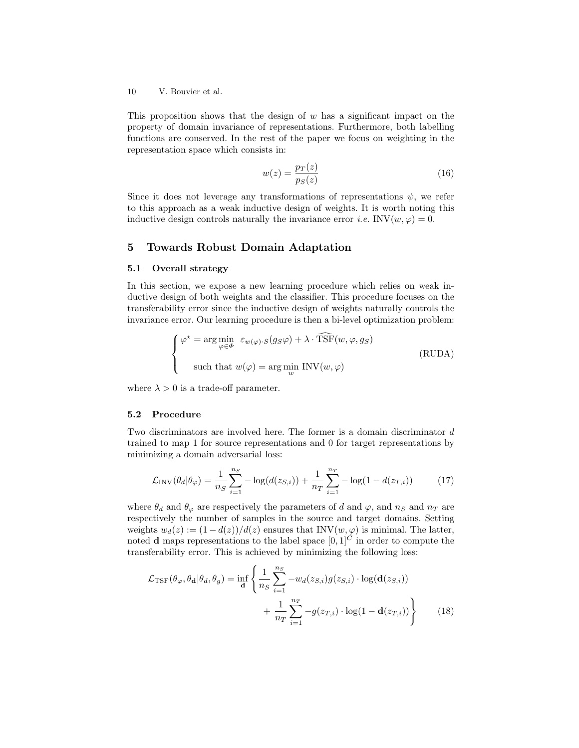This proposition shows that the design of  $w$  has a significant impact on the property of domain invariance of representations. Furthermore, both labelling functions are conserved. In the rest of the paper we focus on weighting in the representation space which consists in:

$$
w(z) = \frac{p_T(z)}{p_S(z)}\tag{16}
$$

Since it does not leverage any transformations of representations  $\psi$ , we refer to this approach as a weak inductive design of weights. It is worth noting this inductive design controls naturally the invariance error *i.e.* INV $(w, \varphi) = 0$ .

## 5 Towards Robust Domain Adaptation

#### 5.1 Overall strategy

In this section, we expose a new learning procedure which relies on weak inductive design of both weights and the classifier. This procedure focuses on the transferability error since the inductive design of weights naturally controls the invariance error. Our learning procedure is then a bi-level optimization problem:

$$
\begin{cases}\n\varphi^* = \arg\min_{\varphi \in \Phi} \ \varepsilon_{w(\varphi) \cdot S}(g_S \varphi) + \lambda \cdot \widehat{\text{TSF}}(w, \varphi, g_S) \\
\text{such that } w(\varphi) = \arg\min_{w} \text{INV}(w, \varphi)\n\end{cases}
$$
\n(RUDA)

where  $\lambda > 0$  is a trade-off parameter.

#### 5.2 Procedure

Two discriminators are involved here. The former is a domain discriminator d trained to map 1 for source representations and 0 for target representations by minimizing a domain adversarial loss:

$$
\mathcal{L}_{\rm INV}(\theta_d | \theta_{\varphi}) = \frac{1}{n_S} \sum_{i=1}^{n_S} -\log(d(z_{S,i})) + \frac{1}{n_T} \sum_{i=1}^{n_T} -\log(1 - d(z_{T,i})) \tag{17}
$$

where  $\theta_d$  and  $\theta_\varphi$  are respectively the parameters of d and  $\varphi$ , and  $n_S$  and  $n_T$  are respectively the number of samples in the source and target domains. Setting weights  $w_d(z) := (1 - d(z))/d(z)$  ensures that INV $(w, \varphi)$  is minimal. The latter, noted **d** maps representations to the label space  $[0, 1]^C$  in order to compute the transferability error. This is achieved by minimizing the following loss:

$$
\mathcal{L}_{\text{TSF}}(\theta_{\varphi}, \theta_{\mathbf{d}} | \theta_d, \theta_g) = \inf_{\mathbf{d}} \left\{ \frac{1}{n_S} \sum_{i=1}^{n_S} -w_d(z_{S,i}) g(z_{S,i}) \cdot \log(\mathbf{d}(z_{S,i})) + \frac{1}{n_T} \sum_{i=1}^{n_T} -g(z_{T,i}) \cdot \log(1 - \mathbf{d}(z_{T,i})) \right\}
$$
(18)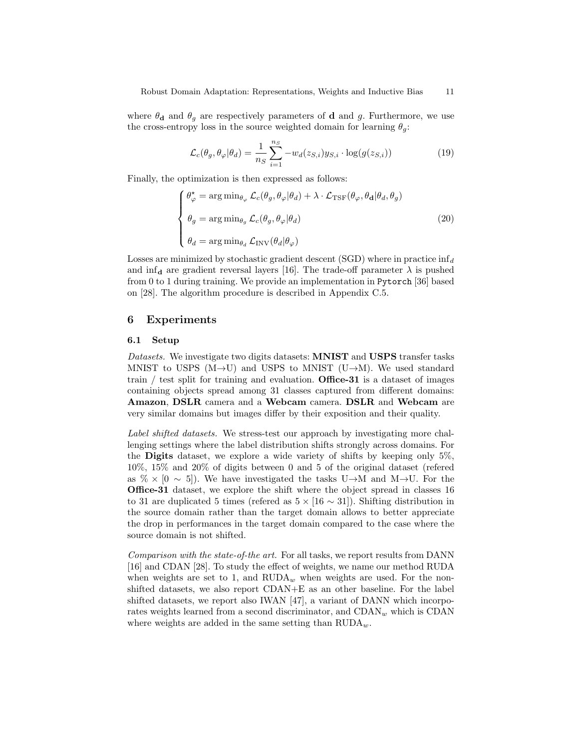where  $\theta_d$  and  $\theta_q$  are respectively parameters of d and g. Furthermore, we use the cross-entropy loss in the source weighted domain for learning  $\theta_g$ :

$$
\mathcal{L}_c(\theta_g, \theta_\varphi | \theta_d) = \frac{1}{n_S} \sum_{i=1}^{n_S} -w_d(z_{S,i}) y_{S,i} \cdot \log(g(z_{S,i})) \tag{19}
$$

Finally, the optimization is then expressed as follows:

$$
\begin{cases}\n\theta_{\varphi}^{\star} = \arg \min_{\theta_{\varphi}} \mathcal{L}_{c}(\theta_{g}, \theta_{\varphi} | \theta_{d}) + \lambda \cdot \mathcal{L}_{\text{TSF}}(\theta_{\varphi}, \theta_{\mathbf{d}} | \theta_{d}, \theta_{g}) \\
\theta_{g} = \arg \min_{\theta_{g}} \mathcal{L}_{c}(\theta_{g}, \theta_{\varphi} | \theta_{d}) \\
\theta_{d} = \arg \min_{\theta_{d}} \mathcal{L}_{\text{INV}}(\theta_{d} | \theta_{\varphi})\n\end{cases}
$$
\n(20)

Losses are minimized by stochastic gradient descent (SGD) where in practice  $\inf_d$ and  $\inf_{\mathbf d}$  are gradient reversal layers [16]. The trade-off parameter  $\lambda$  is pushed from 0 to 1 during training. We provide an implementation in Pytorch [36] based on [28]. The algorithm procedure is described in Appendix C.5.

## 6 Experiments

#### 6.1 Setup

Datasets. We investigate two digits datasets: MNIST and USPS transfer tasks MNIST to USPS (M $\rightarrow$ U) and USPS to MNIST (U $\rightarrow$ M). We used standard train / test split for training and evaluation. Office-31 is a dataset of images containing objects spread among 31 classes captured from different domains: Amazon, DSLR camera and a Webcam camera. DSLR and Webcam are very similar domains but images differ by their exposition and their quality.

Label shifted datasets. We stress-test our approach by investigating more challenging settings where the label distribution shifts strongly across domains. For the Digits dataset, we explore a wide variety of shifts by keeping only 5%, 10%, 15% and 20% of digits between 0 and 5 of the original dataset (refered as  $\% \times [0 \sim 5]$ . We have investigated the tasks U $\rightarrow$ M and M $\rightarrow$ U. For the Office-31 dataset, we explore the shift where the object spread in classes 16 to 31 are duplicated 5 times (refered as  $5 \times [16 \sim 31]$ ). Shifting distribution in the source domain rather than the target domain allows to better appreciate the drop in performances in the target domain compared to the case where the source domain is not shifted.

Comparison with the state-of-the art. For all tasks, we report results from DANN [16] and CDAN [28]. To study the effect of weights, we name our method RUDA when weights are set to 1, and  $\text{RUDA}_w$  when weights are used. For the nonshifted datasets, we also report CDAN+E as an other baseline. For the label shifted datasets, we report also IWAN [47], a variant of DANN which incorporates weights learned from a second discriminator, and  $CDAN_w$  which is  $CDAN$ where weights are added in the same setting than  $\text{RUDA}_w$ .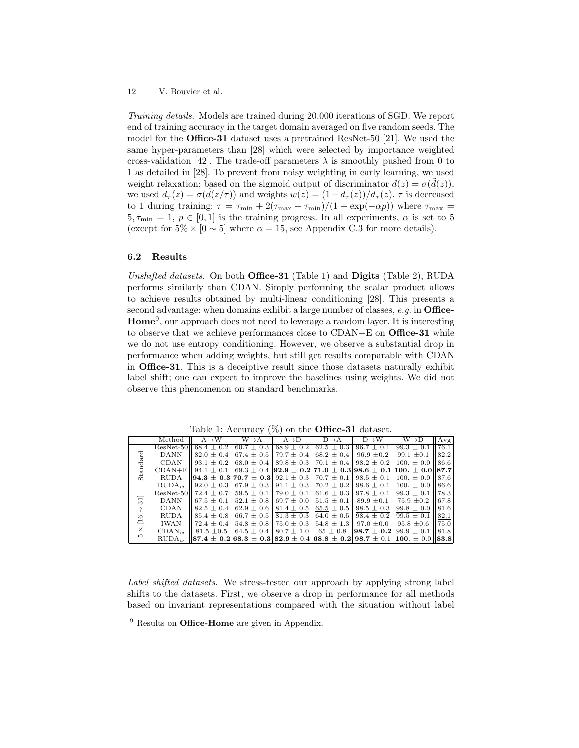Training details. Models are trained during 20.000 iterations of SGD. We report end of training accuracy in the target domain averaged on five random seeds. The model for the Office-31 dataset uses a pretrained ResNet-50 [21]. We used the same hyper-parameters than [28] which were selected by importance weighted cross-validation [42]. The trade-off parameters  $\lambda$  is smoothly pushed from 0 to 1 as detailed in [28]. To prevent from noisy weighting in early learning, we used weight relaxation: based on the sigmoid output of discriminator  $d(z) = \sigma(\tilde{d}(z))$ , we used  $d_{\tau}(z) = \sigma(\tilde{d}(z/\tau))$  and weights  $w(z) = (1 - d_{\tau}(z))/d_{\tau}(z)$ .  $\tau$  is decreased to 1 during training:  $\tau = \tau_{\min} + 2(\tau_{\max} - \tau_{\min})/(1 + \exp(-\alpha p))$  where  $\tau_{\max} =$  $5, \tau_{\min} = 1, p \in [0, 1]$  is the training progress. In all experiments,  $\alpha$  is set to 5 (except for  $5\% \times [0 \sim 5]$  where  $\alpha = 15$ , see Appendix C.3 for more details).

#### 6.2 Results

Unshifted datasets. On both **Office-31** (Table 1) and **Digits** (Table 2), RUDA performs similarly than CDAN. Simply performing the scalar product allows to achieve results obtained by multi-linear conditioning [28]. This presents a second advantage: when domains exhibit a large number of classes,  $e.g.$  in Office-Home<sup>9</sup>, our approach does not need to leverage a random layer. It is interesting to observe that we achieve performances close to CDAN+E on Office-31 while we do not use entropy conditioning. However, we observe a substantial drop in performance when adding weights, but still get results comparable with CDAN in Office-31. This is a deceiptive result since those datasets naturally exhibit label shift; one can expect to improve the baselines using weights. We did not observe this phenomenon on standard benchmarks.

|                       | Method            | $A \rightarrow W$                                                                                               | $W \rightarrow A$                                | $A \rightarrow D$ | $D \rightarrow A$             | $D \rightarrow W$                                                                                   | $W\rightarrow D$ | Avg  |
|-----------------------|-------------------|-----------------------------------------------------------------------------------------------------------------|--------------------------------------------------|-------------------|-------------------------------|-----------------------------------------------------------------------------------------------------|------------------|------|
| Standard              |                   | $ResNet-50  68.4 + 0.2 $                                                                                        | $60.7 + 0.3$                                     | $68.9 + 0.2$      | $62.5 + 0.3$                  | $96.7 \pm 0.1$                                                                                      | $99.3 \pm 0.1$   | 76.1 |
|                       | DANN              |                                                                                                                 |                                                  |                   |                               | $82.0 \pm 0.4$   67.4 $\pm$ 0.5   79.7 $\pm$ 0.4   68.2 $\pm$ 0.4   96.9 $\pm$ 0.2   99.1 $\pm$ 0.1 |                  | 82.2 |
|                       | <b>CDAN</b>       |                                                                                                                 |                                                  |                   |                               | $93.1 \pm 0.2$   68.0 $\pm$ 0.4   89.8 $\pm$ 0.3   70.1 $\pm$ 0.4   98.2 $\pm$ 0.2   100. $\pm$ 0.0 |                  | 86.6 |
|                       |                   | CDAN+E   94.1 ± 0.1   69.3 ± 0.4   92.9 ± 0.2   71.0 ± 0.3   98.6 ± 0.1   100. ± 0.0     87.7                   |                                                  |                   |                               |                                                                                                     |                  |      |
|                       | RUDA              | $  94.3 \pm 0.3 70.7 \pm 0.3 92.1 \pm 0.3 70.7 \pm 0.1 98.5 \pm 0.1 100. \pm 0.0$                               |                                                  |                   |                               |                                                                                                     |                  | 87.6 |
|                       | RUDA <sub>w</sub> |                                                                                                                 |                                                  |                   |                               | $92.0 \pm 0.3$ 67.9 $\pm$ 0.3 91.1 $\pm$ 0.3 70.2 $\pm$ 0.2 98.6 $\pm$ 0.1 100. $\pm$ 0.0           |                  | 86.6 |
| 31]<br>$\circ$        |                   | ResNet-50   72.4 $\pm$ 0.7   59.5 $\pm$ 0.1   79.0 $\pm$ 0.1   61.6 $\pm$ 0.3   97.8 $\pm$ 0.1   99.3 $\pm$ 0.1 |                                                  |                   |                               |                                                                                                     |                  | 78.3 |
|                       | DANN              |                                                                                                                 |                                                  |                   |                               | $67.5 \pm 0.1$   $52.1 \pm 0.8$   $69.7 \pm 0.0$   $51.5 \pm 0.1$   $89.9 \pm 0.1$   $75.9 \pm 0.2$ |                  | 67.8 |
|                       | <b>CDAN</b>       |                                                                                                                 | $82.5 \pm 0.4$   62.9 $\pm$ 0.6                  | $81.4 \pm 0.5$    |                               | $65.5 \pm 0.5$   98.5 $\pm$ 0.3                                                                     | $99.8 \pm 0.0$   | 81.6 |
|                       | <b>RUDA</b>       |                                                                                                                 | $85.4 \pm 0.8$ 66.7 $\pm$ 0.5                    | $81.3 \pm 0.3$    | $64.0 + 0.5$                  | $98.4 \pm 0.2$   $99.5 \pm 0.1$                                                                     |                  | 82.1 |
| 二                     | IWA N             |                                                                                                                 | $72.4 \pm 0.4$   54.8 $\pm$ 0.8   75.0 $\pm$ 0.3 |                   |                               | $54.8 \pm 1.3$   97.0 $\pm$ 0.0   95.8 $\pm$ 0.6                                                    |                  | 75.0 |
| $\times$<br><b>LC</b> | $CDAN_{w}$        | $81.5 \pm 0.5$                                                                                                  | 64.5 $\pm$ 0.4                                   |                   | $80.7 \pm 1.0$   65 $\pm$ 0.8 | $ 98.7 \pm 0.2 $ 99.9 $\pm$ 0.1                                                                     |                  | 81.8 |
|                       | RUDA <sub>w</sub> | $\parallel$ 87.4 $\pm$ 0.2 68.3 $\pm$ 0.3 82.9 $\pm$ 0.4 68.8 $\pm$ 0.2 98.7 $\pm$ 0.1 100. $\pm$ 0.0 83.8      |                                                  |                   |                               |                                                                                                     |                  |      |

Table 1: Accuracy  $(\%)$  on the **Office-31** dataset.

Label shifted datasets. We stress-tested our approach by applying strong label shifts to the datasets. First, we observe a drop in performance for all methods based on invariant representations compared with the situation without label

<sup>&</sup>lt;sup>9</sup> Results on **Office-Home** are given in Appendix.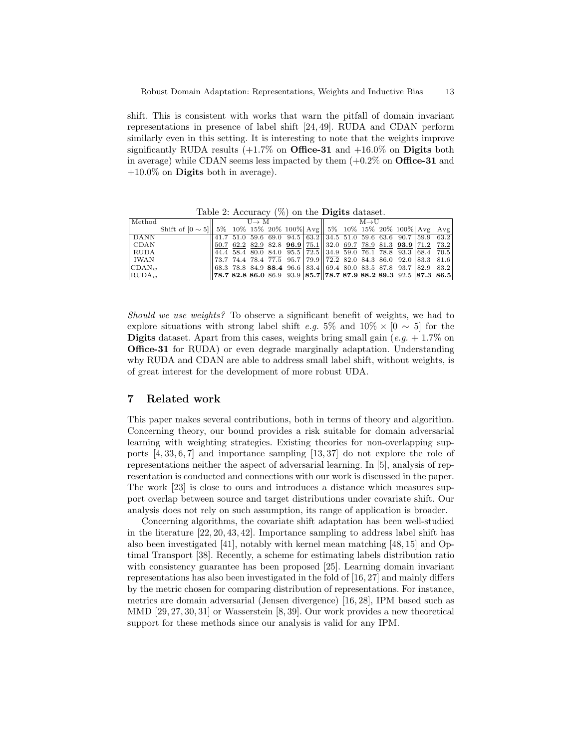shift. This is consistent with works that warn the pitfall of domain invariant representations in presence of label shift [24, 49]. RUDA and CDAN perform similarly even in this setting. It is interesting to note that the weights improve significantly RUDA results  $(+1.7\%$  on **Office-31** and  $+16.0\%$  on **Digits** both in average) while CDAN seems less impacted by them  $(+0.2\% \text{ on } \text{Office-31}$  and  $+10.0\%$  on **Digits** both in average).

| Method                               | $U \rightarrow M$                                                                                                                                                     | $M \rightarrow H$ |  |  |  |  |  |  |  |
|--------------------------------------|-----------------------------------------------------------------------------------------------------------------------------------------------------------------------|-------------------|--|--|--|--|--|--|--|
|                                      | Shift of $[0 \sim 5]$   5% 10% 15% 20% 100%   Avg   5% 10% 15% 20% 100%   Avg   Avg                                                                                   |                   |  |  |  |  |  |  |  |
| DANN                                 | $\frac{1}{41.7}$ 51.0 59.6 69.0 94.5 63.2 34.5 51.0 59.6 63.6 90.7 59.9 63.2                                                                                          |                   |  |  |  |  |  |  |  |
| <b>CDAN</b>                          | $\left 50.7\right 62.2\right 82.9\left 82.8\right 96.9\left 75.1\right \left 32.0\right 69.7\left 78.9\right 81.3\left 93.9\right \left 71.2\right \left 73.2\right $ |                   |  |  |  |  |  |  |  |
| RUDA                                 | $\ 44.4\ 58.4\ 80.0\ 84.0\ 95.5\ 72.5\ 34.9\ 59.0\ 76.1\ 78.8\ 93.3\ 68.4\ 70.5\ $                                                                                    |                   |  |  |  |  |  |  |  |
| IWAN                                 | $\parallel$ 73.7 74.4 78.4 77.5 95.7 79.9 $\parallel$ 72.2 82.0 84.3 86.0 92.0 83.3 $\parallel$ 81.6                                                                  |                   |  |  |  |  |  |  |  |
| $CDAN_w$                             | $\parallel$ 68.3 78.8 84.9 88.4 96.6 83.4 $\parallel$ 69.4 80.0 83.5 87.8 93.7   82.9    83.2                                                                         |                   |  |  |  |  |  |  |  |
| $\mathbb{R}$ UDA <sub><i>m</i></sub> | $\left\  78.7 \ \t82.8 \ \t86.0 \ \t86.9 \ \t93.9 \ \t\  85.7 \right\  78.7 \ \t87.9 \ \t88.2 \ \t89.3 \ \t92.5 \ \t\  87.3 \t\  86.5 \t\ $                           |                   |  |  |  |  |  |  |  |

Table 2: Accuracy  $(\%)$  on the **Digits** dataset.

Should we use weights? To observe a significant benefit of weights, we had to explore situations with strong label shift e.g. 5% and  $10\% \times [0 \sim 5]$  for the **Digits** dataset. Apart from this cases, weights bring small gain (e.g.  $+1.7\%$  on Office-31 for RUDA) or even degrade marginally adaptation. Understanding why RUDA and CDAN are able to address small label shift, without weights, is of great interest for the development of more robust UDA.

## 7 Related work

This paper makes several contributions, both in terms of theory and algorithm. Concerning theory, our bound provides a risk suitable for domain adversarial learning with weighting strategies. Existing theories for non-overlapping supports [4, 33, 6, 7] and importance sampling [13, 37] do not explore the role of representations neither the aspect of adversarial learning. In [5], analysis of representation is conducted and connections with our work is discussed in the paper. The work [23] is close to ours and introduces a distance which measures support overlap between source and target distributions under covariate shift. Our analysis does not rely on such assumption, its range of application is broader.

Concerning algorithms, the covariate shift adaptation has been well-studied in the literature [22, 20, 43, 42]. Importance sampling to address label shift has also been investigated [41], notably with kernel mean matching [48, 15] and Optimal Transport [38]. Recently, a scheme for estimating labels distribution ratio with consistency guarantee has been proposed [25]. Learning domain invariant representations has also been investigated in the fold of [16, 27] and mainly differs by the metric chosen for comparing distribution of representations. For instance, metrics are domain adversarial (Jensen divergence) [16, 28], IPM based such as MMD [29, 27, 30, 31] or Wasserstein [8, 39]. Our work provides a new theoretical support for these methods since our analysis is valid for any IPM.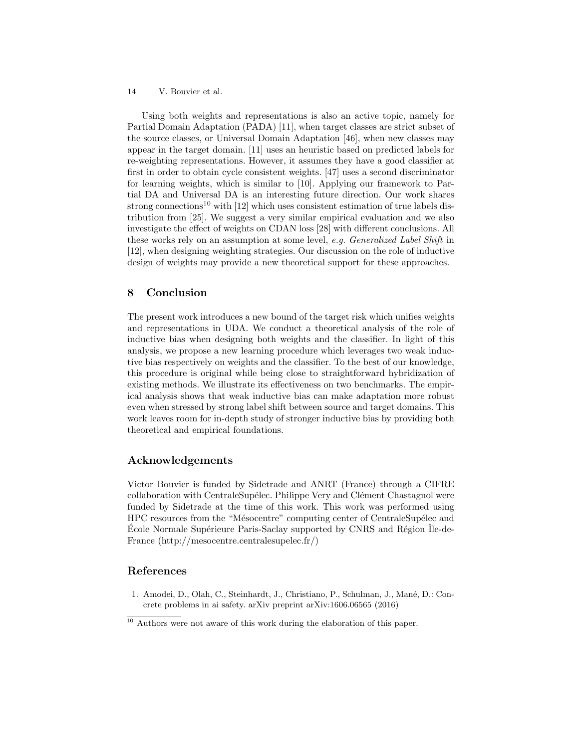Using both weights and representations is also an active topic, namely for Partial Domain Adaptation (PADA) [11], when target classes are strict subset of the source classes, or Universal Domain Adaptation [46], when new classes may appear in the target domain. [11] uses an heuristic based on predicted labels for re-weighting representations. However, it assumes they have a good classifier at first in order to obtain cycle consistent weights. [47] uses a second discriminator for learning weights, which is similar to [10]. Applying our framework to Partial DA and Universal DA is an interesting future direction. Our work shares strong connections<sup>10</sup> with [12] which uses consistent estimation of true labels distribution from [25]. We suggest a very similar empirical evaluation and we also investigate the effect of weights on CDAN loss [28] with different conclusions. All these works rely on an assumption at some level, e.g. Generalized Label Shift in [12], when designing weighting strategies. Our discussion on the role of inductive design of weights may provide a new theoretical support for these approaches.

## 8 Conclusion

The present work introduces a new bound of the target risk which unifies weights and representations in UDA. We conduct a theoretical analysis of the role of inductive bias when designing both weights and the classifier. In light of this analysis, we propose a new learning procedure which leverages two weak inductive bias respectively on weights and the classifier. To the best of our knowledge, this procedure is original while being close to straightforward hybridization of existing methods. We illustrate its effectiveness on two benchmarks. The empirical analysis shows that weak inductive bias can make adaptation more robust even when stressed by strong label shift between source and target domains. This work leaves room for in-depth study of stronger inductive bias by providing both theoretical and empirical foundations.

## Acknowledgements

Victor Bouvier is funded by Sidetrade and ANRT (France) through a CIFRE collaboration with CentraleSupélec. Philippe Very and Clément Chastagnol were funded by Sidetrade at the time of this work. This work was performed using HPC resources from the "Mésocentre" computing center of CentraleSupélec and École Normale Supérieure Paris-Saclay supported by CNRS and Région Île-de-France (http://mesocentre.centralesupelec.fr/)

## References

1. Amodei, D., Olah, C., Steinhardt, J., Christiano, P., Schulman, J., Man´e, D.: Concrete problems in ai safety. arXiv preprint arXiv:1606.06565 (2016)

<sup>10</sup> Authors were not aware of this work during the elaboration of this paper.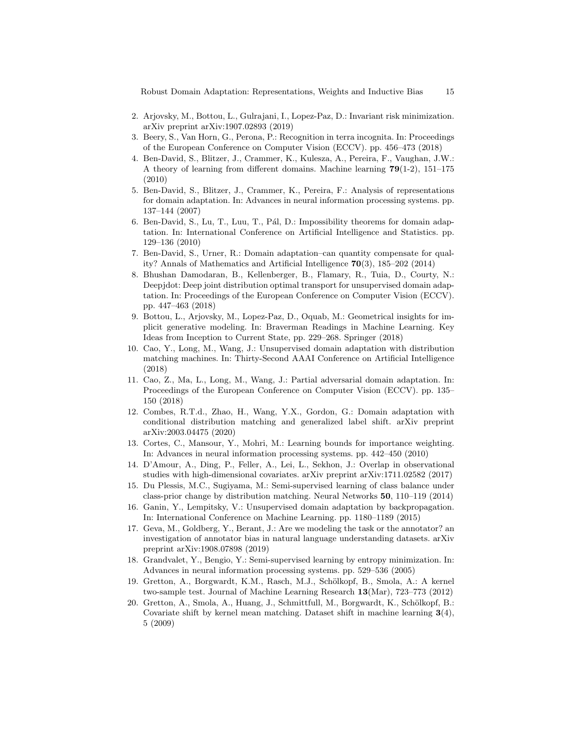Robust Domain Adaptation: Representations, Weights and Inductive Bias 15

- 2. Arjovsky, M., Bottou, L., Gulrajani, I., Lopez-Paz, D.: Invariant risk minimization. arXiv preprint arXiv:1907.02893 (2019)
- 3. Beery, S., Van Horn, G., Perona, P.: Recognition in terra incognita. In: Proceedings of the European Conference on Computer Vision (ECCV). pp. 456–473 (2018)
- 4. Ben-David, S., Blitzer, J., Crammer, K., Kulesza, A., Pereira, F., Vaughan, J.W.: A theory of learning from different domains. Machine learning 79(1-2), 151–175 (2010)
- 5. Ben-David, S., Blitzer, J., Crammer, K., Pereira, F.: Analysis of representations for domain adaptation. In: Advances in neural information processing systems. pp. 137–144 (2007)
- 6. Ben-David, S., Lu, T., Luu, T., Pál, D.: Impossibility theorems for domain adaptation. In: International Conference on Artificial Intelligence and Statistics. pp. 129–136 (2010)
- 7. Ben-David, S., Urner, R.: Domain adaptation–can quantity compensate for quality? Annals of Mathematics and Artificial Intelligence 70(3), 185–202 (2014)
- 8. Bhushan Damodaran, B., Kellenberger, B., Flamary, R., Tuia, D., Courty, N.: Deepjdot: Deep joint distribution optimal transport for unsupervised domain adaptation. In: Proceedings of the European Conference on Computer Vision (ECCV). pp. 447–463 (2018)
- 9. Bottou, L., Arjovsky, M., Lopez-Paz, D., Oquab, M.: Geometrical insights for implicit generative modeling. In: Braverman Readings in Machine Learning. Key Ideas from Inception to Current State, pp. 229–268. Springer (2018)
- 10. Cao, Y., Long, M., Wang, J.: Unsupervised domain adaptation with distribution matching machines. In: Thirty-Second AAAI Conference on Artificial Intelligence (2018)
- 11. Cao, Z., Ma, L., Long, M., Wang, J.: Partial adversarial domain adaptation. In: Proceedings of the European Conference on Computer Vision (ECCV). pp. 135– 150 (2018)
- 12. Combes, R.T.d., Zhao, H., Wang, Y.X., Gordon, G.: Domain adaptation with conditional distribution matching and generalized label shift. arXiv preprint arXiv:2003.04475 (2020)
- 13. Cortes, C., Mansour, Y., Mohri, M.: Learning bounds for importance weighting. In: Advances in neural information processing systems. pp. 442–450 (2010)
- 14. D'Amour, A., Ding, P., Feller, A., Lei, L., Sekhon, J.: Overlap in observational studies with high-dimensional covariates. arXiv preprint arXiv:1711.02582 (2017)
- 15. Du Plessis, M.C., Sugiyama, M.: Semi-supervised learning of class balance under class-prior change by distribution matching. Neural Networks 50, 110–119 (2014)
- 16. Ganin, Y., Lempitsky, V.: Unsupervised domain adaptation by backpropagation. In: International Conference on Machine Learning. pp. 1180–1189 (2015)
- 17. Geva, M., Goldberg, Y., Berant, J.: Are we modeling the task or the annotator? an investigation of annotator bias in natural language understanding datasets. arXiv preprint arXiv:1908.07898 (2019)
- 18. Grandvalet, Y., Bengio, Y.: Semi-supervised learning by entropy minimization. In: Advances in neural information processing systems. pp. 529–536 (2005)
- 19. Gretton, A., Borgwardt, K.M., Rasch, M.J., Schölkopf, B., Smola, A.: A kernel two-sample test. Journal of Machine Learning Research 13(Mar), 723–773 (2012)
- 20. Gretton, A., Smola, A., Huang, J., Schmittfull, M., Borgwardt, K., Schölkopf, B.: Covariate shift by kernel mean matching. Dataset shift in machine learning  $3(4)$ , 5 (2009)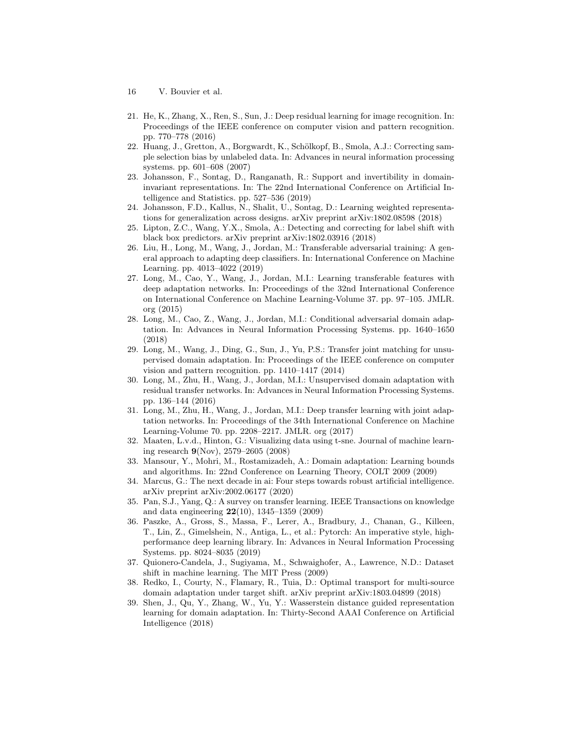- 16 V. Bouvier et al.
- 21. He, K., Zhang, X., Ren, S., Sun, J.: Deep residual learning for image recognition. In: Proceedings of the IEEE conference on computer vision and pattern recognition. pp. 770–778 (2016)
- 22. Huang, J., Gretton, A., Borgwardt, K., Schölkopf, B., Smola, A.J.: Correcting sample selection bias by unlabeled data. In: Advances in neural information processing systems. pp. 601–608 (2007)
- 23. Johansson, F., Sontag, D., Ranganath, R.: Support and invertibility in domaininvariant representations. In: The 22nd International Conference on Artificial Intelligence and Statistics. pp. 527–536 (2019)
- 24. Johansson, F.D., Kallus, N., Shalit, U., Sontag, D.: Learning weighted representations for generalization across designs. arXiv preprint arXiv:1802.08598 (2018)
- 25. Lipton, Z.C., Wang, Y.X., Smola, A.: Detecting and correcting for label shift with black box predictors. arXiv preprint arXiv:1802.03916 (2018)
- 26. Liu, H., Long, M., Wang, J., Jordan, M.: Transferable adversarial training: A general approach to adapting deep classifiers. In: International Conference on Machine Learning. pp. 4013–4022 (2019)
- 27. Long, M., Cao, Y., Wang, J., Jordan, M.I.: Learning transferable features with deep adaptation networks. In: Proceedings of the 32nd International Conference on International Conference on Machine Learning-Volume 37. pp. 97–105. JMLR. org (2015)
- 28. Long, M., Cao, Z., Wang, J., Jordan, M.I.: Conditional adversarial domain adaptation. In: Advances in Neural Information Processing Systems. pp. 1640–1650 (2018)
- 29. Long, M., Wang, J., Ding, G., Sun, J., Yu, P.S.: Transfer joint matching for unsupervised domain adaptation. In: Proceedings of the IEEE conference on computer vision and pattern recognition. pp. 1410–1417 (2014)
- 30. Long, M., Zhu, H., Wang, J., Jordan, M.I.: Unsupervised domain adaptation with residual transfer networks. In: Advances in Neural Information Processing Systems. pp. 136–144 (2016)
- 31. Long, M., Zhu, H., Wang, J., Jordan, M.I.: Deep transfer learning with joint adaptation networks. In: Proceedings of the 34th International Conference on Machine Learning-Volume 70. pp. 2208–2217. JMLR. org (2017)
- 32. Maaten, L.v.d., Hinton, G.: Visualizing data using t-sne. Journal of machine learning research 9(Nov), 2579–2605 (2008)
- 33. Mansour, Y., Mohri, M., Rostamizadeh, A.: Domain adaptation: Learning bounds and algorithms. In: 22nd Conference on Learning Theory, COLT 2009 (2009)
- 34. Marcus, G.: The next decade in ai: Four steps towards robust artificial intelligence. arXiv preprint arXiv:2002.06177 (2020)
- 35. Pan, S.J., Yang, Q.: A survey on transfer learning. IEEE Transactions on knowledge and data engineering 22(10), 1345–1359 (2009)
- 36. Paszke, A., Gross, S., Massa, F., Lerer, A., Bradbury, J., Chanan, G., Killeen, T., Lin, Z., Gimelshein, N., Antiga, L., et al.: Pytorch: An imperative style, highperformance deep learning library. In: Advances in Neural Information Processing Systems. pp. 8024–8035 (2019)
- 37. Quionero-Candela, J., Sugiyama, M., Schwaighofer, A., Lawrence, N.D.: Dataset shift in machine learning. The MIT Press (2009)
- 38. Redko, I., Courty, N., Flamary, R., Tuia, D.: Optimal transport for multi-source domain adaptation under target shift. arXiv preprint arXiv:1803.04899 (2018)
- 39. Shen, J., Qu, Y., Zhang, W., Yu, Y.: Wasserstein distance guided representation learning for domain adaptation. In: Thirty-Second AAAI Conference on Artificial Intelligence (2018)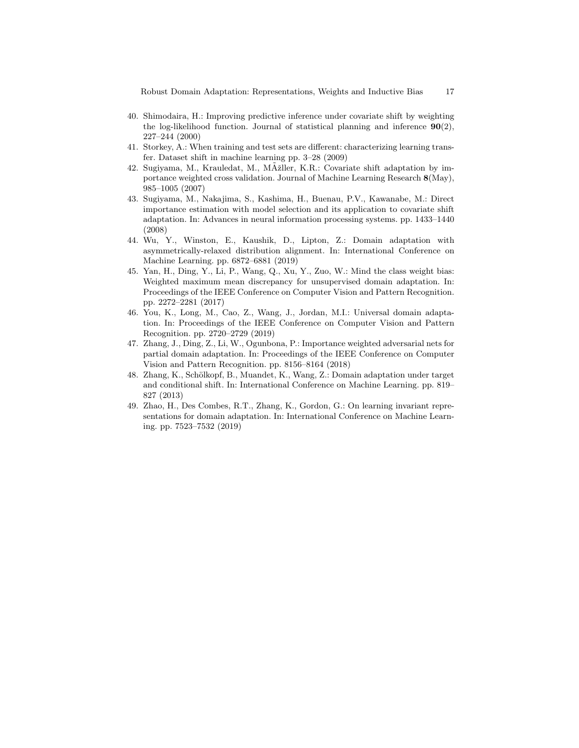Robust Domain Adaptation: Representations, Weights and Inductive Bias 17

- 40. Shimodaira, H.: Improving predictive inference under covariate shift by weighting the log-likelihood function. Journal of statistical planning and inference  $90(2)$ , 227–244 (2000)
- 41. Storkey, A.: When training and test sets are different: characterizing learning transfer. Dataset shift in machine learning pp. 3–28 (2009)
- 42. Sugiyama, M., Krauledat, M., MÞller, K.R.: Covariate shift adaptation by importance weighted cross validation. Journal of Machine Learning Research 8(May), 985–1005 (2007)
- 43. Sugiyama, M., Nakajima, S., Kashima, H., Buenau, P.V., Kawanabe, M.: Direct importance estimation with model selection and its application to covariate shift adaptation. In: Advances in neural information processing systems. pp. 1433–1440 (2008)
- 44. Wu, Y., Winston, E., Kaushik, D., Lipton, Z.: Domain adaptation with asymmetrically-relaxed distribution alignment. In: International Conference on Machine Learning. pp. 6872–6881 (2019)
- 45. Yan, H., Ding, Y., Li, P., Wang, Q., Xu, Y., Zuo, W.: Mind the class weight bias: Weighted maximum mean discrepancy for unsupervised domain adaptation. In: Proceedings of the IEEE Conference on Computer Vision and Pattern Recognition. pp. 2272–2281 (2017)
- 46. You, K., Long, M., Cao, Z., Wang, J., Jordan, M.I.: Universal domain adaptation. In: Proceedings of the IEEE Conference on Computer Vision and Pattern Recognition. pp. 2720–2729 (2019)
- 47. Zhang, J., Ding, Z., Li, W., Ogunbona, P.: Importance weighted adversarial nets for partial domain adaptation. In: Proceedings of the IEEE Conference on Computer Vision and Pattern Recognition. pp. 8156–8164 (2018)
- 48. Zhang, K., Schölkopf, B., Muandet, K., Wang, Z.: Domain adaptation under target and conditional shift. In: International Conference on Machine Learning. pp. 819– 827 (2013)
- 49. Zhao, H., Des Combes, R.T., Zhang, K., Gordon, G.: On learning invariant representations for domain adaptation. In: International Conference on Machine Learning. pp. 7523–7532 (2019)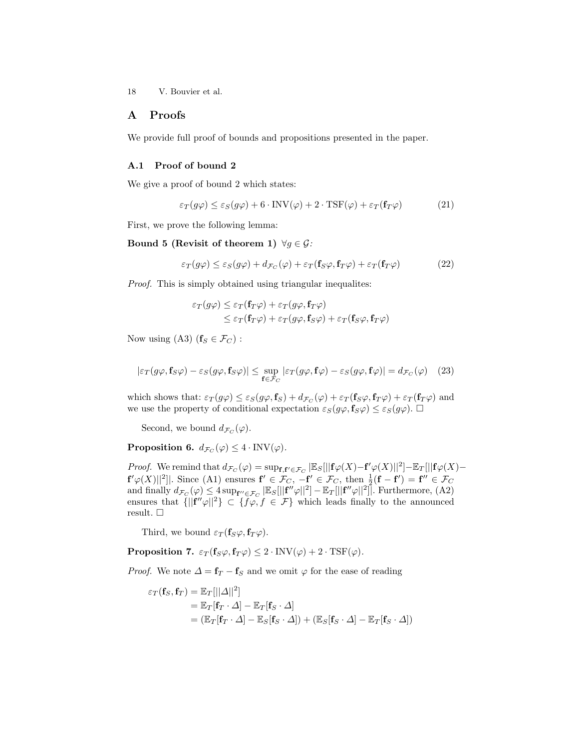## A Proofs

We provide full proof of bounds and propositions presented in the paper.

## A.1 Proof of bound 2

We give a proof of bound 2 which states:

$$
\varepsilon_T(g\varphi) \le \varepsilon_S(g\varphi) + 6 \cdot \text{INV}(\varphi) + 2 \cdot \text{TSF}(\varphi) + \varepsilon_T(\mathbf{f}_T\varphi)
$$
(21)

First, we prove the following lemma:

Bound 5 (Revisit of theorem 1)  $\forall g \in \mathcal{G}$ :

$$
\varepsilon_T(g\varphi) \le \varepsilon_S(g\varphi) + d_{\mathcal{F}_C}(\varphi) + \varepsilon_T(\mathbf{f}_S\varphi, \mathbf{f}_T\varphi) + \varepsilon_T(\mathbf{f}_T\varphi)
$$
(22)

Proof. This is simply obtained using triangular inequalites:

$$
\varepsilon_T(g\varphi) \leq \varepsilon_T(\mathbf{f}_T\varphi) + \varepsilon_T(g\varphi, \mathbf{f}_T\varphi)
$$
  

$$
\leq \varepsilon_T(\mathbf{f}_T\varphi) + \varepsilon_T(g\varphi, \mathbf{f}_S\varphi) + \varepsilon_T(\mathbf{f}_S\varphi, \mathbf{f}_T\varphi)
$$

Now using (A3)  $(f_S \in \mathcal{F}_C)$ :

$$
|\varepsilon_T(g\varphi, \mathbf{f}_S\varphi) - \varepsilon_S(g\varphi, \mathbf{f}_S\varphi)| \le \sup_{\mathbf{f} \in \mathcal{F}_C} |\varepsilon_T(g\varphi, \mathbf{f}\varphi) - \varepsilon_S(g\varphi, \mathbf{f}\varphi)| = d_{\mathcal{F}_C}(\varphi) \quad (23)
$$

which shows that:  $\varepsilon_T(g\varphi) \leq \varepsilon_S(g\varphi, \mathbf{f}_S) + d_{\mathcal{F}_C}(\varphi) + \varepsilon_T(\mathbf{f}_S\varphi, \mathbf{f}_T\varphi) + \varepsilon_T(\mathbf{f}_T\varphi)$  and we use the property of conditional expectation  $\varepsilon_S(g\varphi, \mathbf{f}_S\varphi) \leq \varepsilon_S(g\varphi)$ .  $\Box$ 

Second, we bound  $d_{\mathcal{F}_C}(\varphi)$ .

**Proposition 6.**  $d_{\mathcal{F}_C}(\varphi) \leq 4 \cdot \text{INV}(\varphi)$ .

*Proof.* We remind that  $d_{\mathcal{F}_C}(\varphi) = \sup_{\mathbf{f}, \mathbf{f}' \in \mathcal{F}_C} |\mathbb{E}_S[||\mathbf{f}\varphi(X) - \mathbf{f}'\varphi(X)||^2] - \mathbb{E}_T[||\mathbf{f}\varphi(X) - \mathbf{f}'\varphi(X)||^2]$  $\mathbf{f}'\varphi(X)||^2$ . Since (A1) ensures  $\mathbf{f}' \in \mathcal{F}_C$ ,  $-\mathbf{f}' \in \mathcal{F}_C$ , then  $\frac{1}{2}(\mathbf{f} - \mathbf{f}') = \mathbf{f}'' \in \mathcal{F}_C$ and finally  $d_{\mathcal{F}_C}(\varphi) \leq 4 \sup_{\mathbf{f}'' \in \mathcal{F}_C} |\mathbb{E}_S[||\mathbf{f}''\varphi||^2] - \mathbb{E}_T[||\mathbf{f}''\varphi||^2].$  Furthermore, (A2) ensures that  ${\{||f''\varphi||^2\}} \subset {\{f\varphi, f \in \mathcal{F}\}}$  which leads finally to the announced result.  $\square$ 

Third, we bound  $\varepsilon_T(\mathbf{f}_S\varphi, \mathbf{f}_T\varphi)$ .

**Proposition 7.**  $\varepsilon_T(f_S\varphi, f_T\varphi) \leq 2 \cdot \text{INV}(\varphi) + 2 \cdot \text{TSF}(\varphi)$ .

*Proof.* We note  $\Delta = \mathbf{f}_T - \mathbf{f}_S$  and we omit  $\varphi$  for the ease of reading

$$
\varepsilon_T(\mathbf{f}_S, \mathbf{f}_T) = \mathbb{E}_T[||\Delta||^2]
$$
  
=  $\mathbb{E}_T[\mathbf{f}_T \cdot \Delta] - \mathbb{E}_T[\mathbf{f}_S \cdot \Delta]$   
=  $(\mathbb{E}_T[\mathbf{f}_T \cdot \Delta] - \mathbb{E}_S[\mathbf{f}_S \cdot \Delta]) + (\mathbb{E}_S[\mathbf{f}_S \cdot \Delta] - \mathbb{E}_T[\mathbf{f}_S \cdot \Delta])$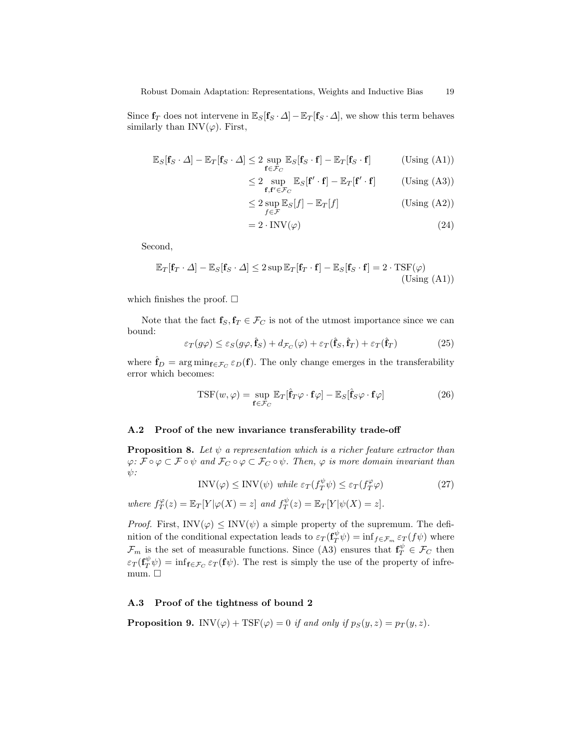Since  $f_T$  does not intervene in  $\mathbb{E}_S[f_S \cdot \Delta] - \mathbb{E}_T[f_S \cdot \Delta]$ , we show this term behaves similarly than  $INV(\varphi)$ . First,

$$
\mathbb{E}_{S}[\mathbf{f}_{S} \cdot \Delta] - \mathbb{E}_{T}[\mathbf{f}_{S} \cdot \Delta] \le 2 \sup_{\mathbf{f} \in \mathcal{F}_{C}} \mathbb{E}_{S}[\mathbf{f}_{S} \cdot \mathbf{f}] - \mathbb{E}_{T}[\mathbf{f}_{S} \cdot \mathbf{f}] \qquad (\text{Using (A1)})
$$

$$
\leq 2 \sup_{\mathbf{f}, \mathbf{f}' \in \mathcal{F}_C} \mathbb{E}_S[\mathbf{f}' \cdot \mathbf{f}] - \mathbb{E}_T[\mathbf{f}' \cdot \mathbf{f}] \quad \text{(Using (A3))}
$$

$$
\leq 2 \sup_{f \in \mathcal{F}} \mathbb{E}_S[f] - \mathbb{E}_T[f] \tag{Using (A2)}
$$

$$
= 2 \cdot \text{INV}(\varphi) \tag{24}
$$

Second,

$$
\mathbb{E}_{T}[\mathbf{f}_{T} \cdot \Delta] - \mathbb{E}_{S}[\mathbf{f}_{S} \cdot \Delta] \le 2 \sup \mathbb{E}_{T}[\mathbf{f}_{T} \cdot \mathbf{f}] - \mathbb{E}_{S}[\mathbf{f}_{S} \cdot \mathbf{f}] = 2 \cdot \text{TSF}(\varphi)
$$
(Using (A1))

which finishes the proof.  $\square$ 

Note that the fact  $f_S, f_T \in \mathcal{F}_C$  is not of the utmost importance since we can bound:

$$
\varepsilon_T(g\varphi) \le \varepsilon_S(g\varphi, \hat{\mathbf{f}}_S) + d_{\mathcal{F}_C}(\varphi) + \varepsilon_T(\hat{\mathbf{f}}_S, \hat{\mathbf{f}}_T) + \varepsilon_T(\hat{\mathbf{f}}_T)
$$
(25)

where  $\hat{\mathbf{f}}_D = \arg \min_{\mathbf{f} \in \mathcal{F}_C} \varepsilon_D(\mathbf{f}).$  The only change emerges in the transferability error which becomes:

$$
TSF(w,\varphi) = \sup_{\mathbf{f} \in \mathcal{F}_C} \mathbb{E}_T[\hat{\mathbf{f}}_T \varphi \cdot \mathbf{f}\varphi] - \mathbb{E}_S[\hat{\mathbf{f}}_S \varphi \cdot \mathbf{f}\varphi]
$$
(26)

#### A.2 Proof of the new invariance transferability trade-off

**Proposition 8.** Let  $\psi$  a representation which is a richer feature extractor than  $\varphi: \mathcal{F} \circ \varphi \subset \mathcal{F} \circ \psi$  and  $\mathcal{F}_C \circ \varphi \subset \mathcal{F}_C \circ \psi$ . Then,  $\varphi$  is more domain invariant than  $\psi$ :

$$
INV(\varphi) \leq INV(\psi) \text{ while } \varepsilon_T(f_T^{\psi}\psi) \leq \varepsilon_T(f_T^{\varphi}\varphi) \tag{27}
$$

where 
$$
f_T^{\varphi}(z) = \mathbb{E}_T[Y|\varphi(X) = z]
$$
 and  $f_T^{\psi}(z) = \mathbb{E}_T[Y|\psi(X) = z]$ .

*Proof.* First,  $INV(\varphi) \leq INV(\psi)$  a simple property of the supremum. The definition of the conditional expectation leads to  $\varepsilon_T(\mathbf{f}_T^{\psi}\psi) = \inf_{f \in \mathcal{F}_m} \varepsilon_T(f\psi)$  where  $\mathcal{F}_m$  is the set of measurable functions. Since (A3) ensures that  $\mathbf{f}_T^{\psi} \in \mathcal{F}_C$  then  $\varepsilon_T(\mathbf{f}_T^{\psi}\psi) = \inf_{\mathbf{f} \in \mathcal{F}_C} \varepsilon_T(\mathbf{f}\psi)$ . The rest is simply the use of the property of infremum.  $\square$ 

#### A.3 Proof of the tightness of bound 2

**Proposition 9.** INV( $\varphi$ ) + TSF( $\varphi$ ) = 0 if and only if  $p_S(y, z) = p_T(y, z)$ .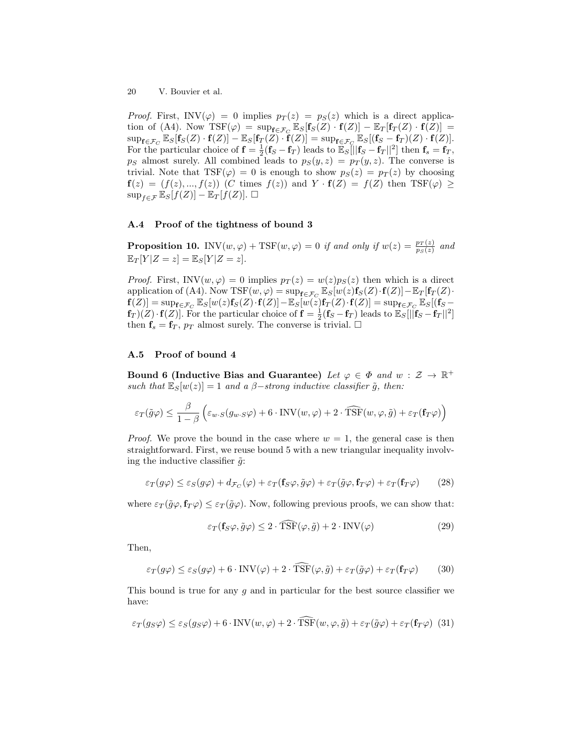*Proof.* First,  $INV(\varphi) = 0$  implies  $p_T(z) = p_S(z)$  which is a direct application of (A4). Now  $\text{TSF}(\varphi) = \sup_{\mathbf{f} \in \mathcal{F}_C} \mathbb{E}_S[\mathbf{f}_S(Z) \cdot \mathbf{f}(Z)] - \mathbb{E}_T[\mathbf{f}_T(Z) \cdot \mathbf{f}(Z)] =$  $\sup_{\mathbf{f}\in\mathcal{F}_C}\mathbb{E}_S[\mathbf{f}_S(Z)\cdot\mathbf{f}(Z)]-\mathbb{E}_S[\mathbf{f}_T(Z)\cdot\mathbf{f}(Z)]=\sup_{\mathbf{f}\in\mathcal{F}_C}\mathbb{E}_S[(\mathbf{f}_S-\mathbf{f}_T)(Z)\cdot\mathbf{f}(Z)].$ For the particular choice of  $\mathbf{f} = \frac{1}{2}(\mathbf{f}_S - \mathbf{f}_T)$  leads to  $\mathbb{E}_S[\|\mathbf{f}_S - \mathbf{f}_T\|^2]$  then  $\mathbf{f}_s = \mathbf{f}_T$ ,  $p_S$  almost surely. All combined leads to  $p_S(y, z) = p_T(y, z)$ . The converse is trivial. Note that  $TSF(\varphi) = 0$  is enough to show  $p_S(z) = p_T(z)$  by choosing  $f(z) = (f(z),..., f(z))$  (C times  $f(z)$ ) and  $Y \cdot f(Z) = f(Z)$  then  $TSF(\varphi) \ge$  $\sup_{f \in \mathcal{F}} \mathbb{E}_S[f(Z)] - \mathbb{E}_T[f(Z)].$ 

#### A.4 Proof of the tightness of bound 3

**Proposition 10.** INV $(w, \varphi)$  + TSF $(w, \varphi) = 0$  if and only if  $w(z) = \frac{p_T(z)}{p_S(z)}$  and  $\mathbb{E}_T[Y|Z=z] = \mathbb{E}_S[Y|Z=z].$ 

*Proof.* First, INV $(w, \varphi) = 0$  implies  $p_T(z) = w(z)p_S(z)$  then which is a direct application of (A4). Now  $\text{TSF}(w, \varphi) = \sup_{\mathbf{f} \in \mathcal{F}_C} \mathbb{E}_S[w(z) \mathbf{f}_S(Z) \cdot \mathbf{f}(Z)] - \mathbb{E}_T[\mathbf{f}_T(Z) \cdot$  $\mathbf{f}(Z)]=\sup_{\mathbf{f}\in\mathcal{F}_C}\mathbb{E}_S[w(z)\mathbf{f}_S(Z)\cdot\mathbf{f}(Z)]-\mathbb{E}_S[w(z)\mathbf{f}_T(Z)\cdot\mathbf{f}(Z)]=\sup_{\mathbf{f}\in\mathcal{F}_C}\mathbb{E}_S[(\mathbf{f}_S-P_z)\mathbf{f}(Z)]$  $f_T$   $(\overline{Z}) \cdot f(\overline{Z})$ . For the particular choice of  $f = \frac{1}{2}(f_S - f_T)$  leads to  $\mathbb{E}_S[\|\mathbf{f}_S - \mathbf{f}_T\|^2]$ then  $f_s = f_T$ ,  $p_T$  almost surely. The converse is trivial.  $\Box$ 

#### A.5 Proof of bound 4

Bound 6 (Inductive Bias and Guarantee) Let  $\varphi \in \Phi$  and  $w : \mathcal{Z} \to \mathbb{R}^+$ such that  $\mathbb{E}_{S}[w(z)] = 1$  and a  $\beta$ -strong inductive classifier  $\tilde{g}$ , then:

$$
\varepsilon_T(\tilde{g}\varphi) \le \frac{\beta}{1-\beta} \left( \varepsilon_{w \cdot S}(g_{w \cdot S}\varphi) + 6 \cdot \text{INV}(w, \varphi) + 2 \cdot \widehat{\text{TSF}}(w, \varphi, \tilde{g}) + \varepsilon_T(\mathbf{f}_T\varphi) \right)
$$

*Proof.* We prove the bound in the case where  $w = 1$ , the general case is then straightforward. First, we reuse bound 5 with a new triangular inequality involving the inductive classifier  $\tilde{q}$ :

$$
\varepsilon_T(g\varphi) \le \varepsilon_S(g\varphi) + d_{\mathcal{F}_C}(\varphi) + \varepsilon_T(\mathbf{f}_S\varphi, \tilde{g}\varphi) + \varepsilon_T(\tilde{g}\varphi, \mathbf{f}_T\varphi) + \varepsilon_T(\mathbf{f}_T\varphi)
$$
(28)

where  $\varepsilon_T(\tilde{g}\varphi, \mathbf{f}_T\varphi) \leq \varepsilon_T(\tilde{g}\varphi)$ . Now, following previous proofs, we can show that:

$$
\varepsilon_T(\mathbf{f}_S\varphi, \tilde{g}\varphi) \le 2 \cdot \widehat{\text{TSF}}(\varphi, \tilde{g}) + 2 \cdot \text{INV}(\varphi) \tag{29}
$$

Then,

$$
\varepsilon_T(g\varphi) \le \varepsilon_S(g\varphi) + 6 \cdot \text{INV}(\varphi) + 2 \cdot \widehat{\text{TSF}}(\varphi, \tilde{g}) + \varepsilon_T(\tilde{g}\varphi) + \varepsilon_T(\mathbf{f}_T\varphi)
$$
(30)

This bound is true for any  $q$  and in particular for the best source classifier we have:

$$
\varepsilon_T(g_S\varphi) \le \varepsilon_S(g_S\varphi) + 6 \cdot \text{INV}(w, \varphi) + 2 \cdot \hat{\text{T}} \hat{\text{S}} \hat{\text{F}}(w, \varphi, \tilde{g}) + \varepsilon_T(\tilde{g}\varphi) + \varepsilon_T(\mathbf{f}_T\varphi)
$$
(31)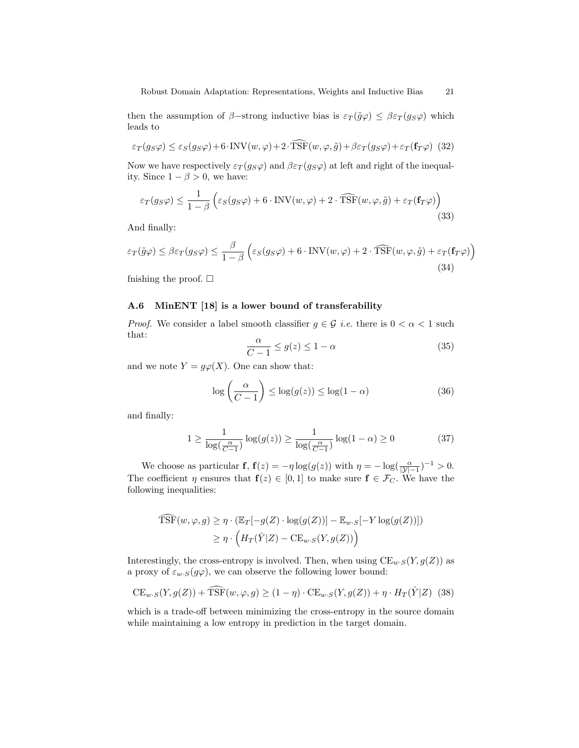then the assumption of  $\beta$ -strong inductive bias is  $\varepsilon_T(\tilde{g}\varphi) \leq \beta \varepsilon_T(g_S\varphi)$  which leads to

$$
\varepsilon_T(g_S\varphi) \le \varepsilon_S(g_S\varphi) + 6 \cdot \text{INV}(w, \varphi) + 2 \cdot \text{TSF}(w, \varphi, \tilde{g}) + \beta \varepsilon_T(g_S\varphi) + \varepsilon_T(\mathbf{f}_T\varphi)
$$
(32)

Now we have respectively  $\varepsilon_T(g_S\varphi)$  and  $\beta\varepsilon_T(g_S\varphi)$  at left and right of the inequality. Since  $1 - \beta > 0$ , we have:

$$
\varepsilon_T(g_S\varphi) \le \frac{1}{1-\beta} \left( \varepsilon_S(g_S\varphi) + 6 \cdot \text{INV}(w, \varphi) + 2 \cdot \widehat{\text{TSF}}(w, \varphi, \tilde{g}) + \varepsilon_T(\mathbf{f}_T\varphi) \right)
$$
(33)

And finally:

$$
\varepsilon_T(\tilde{g}\varphi) \le \beta \varepsilon_T(g_S \varphi) \le \frac{\beta}{1-\beta} \left( \varepsilon_S(g_S \varphi) + 6 \cdot \text{INV}(w, \varphi) + 2 \cdot \widehat{\text{TSF}}(w, \varphi, \tilde{g}) + \varepsilon_T(\mathbf{f}_T \varphi) \right)
$$
\n(34)

fnishing the proof.  $\square$ 

#### A.6 MinENT [18] is a lower bound of transferability

*Proof.* We consider a label smooth classifier  $g \in \mathcal{G}$  *i.e.* there is  $0 < \alpha < 1$  such that:

$$
\frac{\alpha}{C-1} \le g(z) \le 1-\alpha \tag{35}
$$

and we note  $Y = g\varphi(X)$ . One can show that:

$$
\log\left(\frac{\alpha}{C-1}\right) \le \log(g(z)) \le \log(1-\alpha) \tag{36}
$$

and finally:

$$
1 \ge \frac{1}{\log(\frac{\alpha}{C-1})} \log(g(z)) \ge \frac{1}{\log(\frac{\alpha}{C-1})} \log(1-\alpha) \ge 0 \tag{37}
$$

We choose as particular **f**,  $f(z) = -\eta \log(g(z))$  with  $\eta = -\log(\frac{\alpha}{|\mathcal{Y}|-1})^{-1} > 0$ . The coefficient  $\eta$  ensures that  $f(z) \in [0,1]$  to make sure  $f \in \mathcal{F}_C$ . We have the following inequalities:

$$
\widehat{\text{TSF}}(w, \varphi, g) \ge \eta \cdot (\mathbb{E}_T[-g(Z) \cdot \log(g(Z))] - \mathbb{E}_{w \cdot S}[-Y \log(g(Z))])
$$
  

$$
\ge \eta \cdot \left( H_T(\hat{Y}|Z) - \text{CE}_{w \cdot S}(Y, g(Z)) \right)
$$

Interestingly, the cross-entropy is involved. Then, when using  $CE_{w \cdot S}(Y, g(Z))$  as a proxy of  $\varepsilon_{w\cdot S}(g\varphi),$  we can observe the following lower bound:

$$
CE_{w \cdot S}(Y, g(Z)) + \widehat{TSF}(w, \varphi, g) \ge (1 - \eta) \cdot CE_{w \cdot S}(Y, g(Z)) + \eta \cdot H_T(\hat{Y}|Z)
$$
 (38)

which is a trade-off between minimizing the cross-entropy in the source domain while maintaining a low entropy in prediction in the target domain.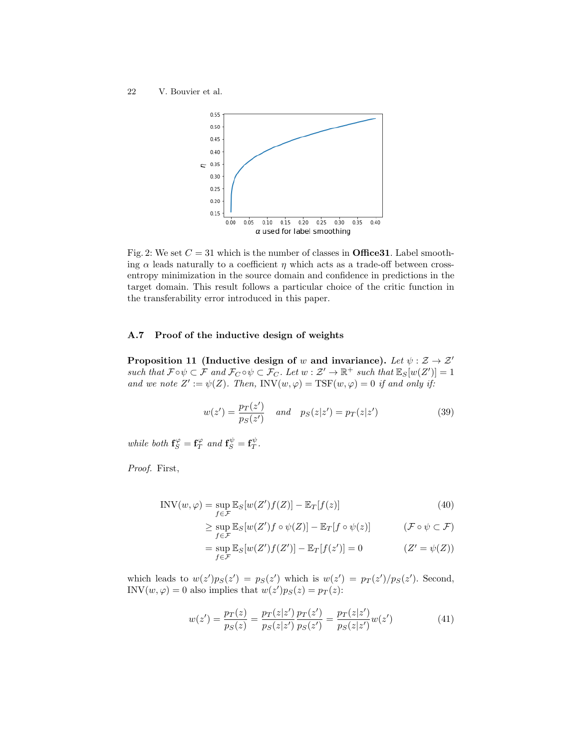

Fig. 2: We set  $C = 31$  which is the number of classes in **Office31**. Label smoothing  $\alpha$  leads naturally to a coefficient  $\eta$  which acts as a trade-off between crossentropy minimization in the source domain and confidence in predictions in the target domain. This result follows a particular choice of the critic function in the transferability error introduced in this paper.

## A.7 Proof of the inductive design of weights

Proposition 11 (Inductive design of w and invariance). Let  $\psi : \mathcal{Z} \to \mathcal{Z}'$ such that  $\mathcal{F} \circ \psi \subset \mathcal{F}$  and  $\mathcal{F}_C \circ \psi \subset \mathcal{F}_C$ . Let  $w : \mathcal{Z}' \to \mathbb{R}^+$  such that  $\mathbb{E}_S[w(Z')] = 1$ and we note  $Z' := \psi(Z)$ . Then, INV $(w, \varphi) = \text{TSF}(w, \varphi) = 0$  if and only if:

$$
w(z') = \frac{p_T(z')}{p_S(z')} \quad \text{and} \quad p_S(z|z') = p_T(z|z')
$$
 (39)

while both  $\mathbf{f}_{S}^{\varphi} = \mathbf{f}_{T}^{\varphi}$  and  $\mathbf{f}_{S}^{\psi} = \mathbf{f}_{T}^{\psi}$ .

Proof. First,

$$
INV(w, \varphi) = \sup_{f \in \mathcal{F}} \mathbb{E}_S[w(Z')f(Z)] - \mathbb{E}_T[f(z)] \tag{40}
$$

$$
\geq \sup_{f \in \mathcal{F}} \mathbb{E}_S[w(Z')f \circ \psi(Z)] - \mathbb{E}_T[f \circ \psi(z)] \qquad (\mathcal{F} \circ \psi \subset \mathcal{F})
$$

$$
= \sup_{f \in \mathcal{F}} \mathbb{E}_S[w(Z')f(Z')] - \mathbb{E}_T[f(z')] = 0 \qquad (Z' = \psi(Z))
$$

which leads to  $w(z')p_S(z') = p_S(z')$  which is  $w(z') = p_T(z')/p_S(z')$ . Second, INV $(w, \varphi) = 0$  also implies that  $w(z')p_S(z) = p_T(z)$ :

$$
w(z') = \frac{p_T(z)}{p_S(z)} = \frac{p_T(z|z')}{p_S(z|z')} \frac{p_T(z')}{p_S(z')} = \frac{p_T(z|z')}{p_S(z|z')} w(z')
$$
(41)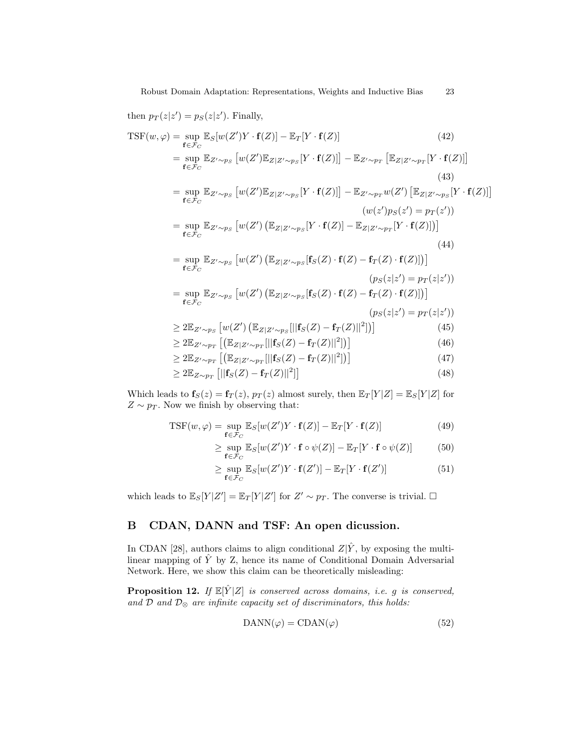then 
$$
p_T(z|z') = p_S(z|z')
$$
. Finally,  
\n
$$
\text{TSF}(w, \varphi) = \sup_{\mathbf{f} \in \mathcal{F}_C} \mathbb{E}_S[w(Z')Y \cdot \mathbf{f}(Z)] - \mathbb{E}_T[Y \cdot \mathbf{f}(Z)] \qquad (42)
$$
\n
$$
= \sup_{\mathbf{f} \in \mathcal{F}_C} \mathbb{E}_{Z' \sim p_S} [w(Z') \mathbb{E}_{Z|Z' \sim p_S} [Y \cdot \mathbf{f}(Z)]] - \mathbb{E}_{Z' \sim p_T} [\mathbb{E}_{Z|Z' \sim p_T} [Y \cdot \mathbf{f}(Z)]] \qquad (43)
$$
\n
$$
= \sup_{\mathbf{f} \in \mathcal{F}_C} \mathbb{E}_{Z' \sim p_S} [w(Z') \mathbb{E}_{Z|Z' \sim p_S} [Y \cdot \mathbf{f}(Z)]] - \mathbb{E}_{Z' \sim p_T} w(Z') [\mathbb{E}_{Z|Z' \sim p_S} [Y \cdot \mathbf{f}(Z)]]
$$
\n
$$
(w(z')p_S(z') = p_T(z'))
$$
\n
$$
= \sup_{\mathbf{f} \in \mathcal{F}_C} \mathbb{E}_{Z' \sim p_S} [w(Z') (\mathbb{E}_{Z|Z' \sim p_S} [ \mathbf{f}_S(Z) \cdot \mathbf{f}(Z) - \mathbf{f}_T(Z) \cdot \mathbf{f}(Z) ])]
$$
\n
$$
(44)
$$
\n
$$
= \sup_{\mathbf{f} \in \mathcal{F}_C} \mathbb{E}_{Z' \sim p_S} [w(Z') (\mathbb{E}_{Z|Z' \sim p_S} [ \mathbf{f}_S(Z) \cdot \mathbf{f}(Z) - \mathbf{f}_T(Z) \cdot \mathbf{f}(Z) ])]
$$
\n
$$
= \sup_{\mathbf{f} \in \mathcal{F}_C} \mathbb{E}_{Z' \sim p_S} [w(Z') (\mathbb{E}_{Z|Z' \sim p_S} [ \mathbf{f}_S(Z) \cdot \mathbf{f}(Z) - \mathbf{f}_T(Z) \cdot \mathbf{f}(Z) ])]
$$
\n
$$
= \sup_{\mathbf{f} \in \mathcal{F}_C} \mathbb{E}_{Z' \sim p_S} [w(Z') (\mathbb{E}_{Z|Z' \sim p_S} [ \mathbf{f}_S
$$

Which leads to  $\mathbf{f}_{S}(z) = \mathbf{f}_{T}(z)$ ,  $p_{T}(z)$  almost surely, then  $\mathbb{E}_{T}[Y|Z] = \mathbb{E}_{S}[Y|Z]$  for  $Z \sim p_T$ . Now we finish by observing that:

$$
TSF(w, \varphi) = \sup_{\mathbf{f} \in \mathcal{F}_C} \mathbb{E}_S[w(Z')Y \cdot \mathbf{f}(Z)] - \mathbb{E}_T[Y \cdot \mathbf{f}(Z)] \tag{49}
$$

$$
\geq \sup_{\mathbf{f}\in\mathcal{F}_C} \mathbb{E}_S[w(Z')Y \cdot \mathbf{f} \circ \psi(Z)] - \mathbb{E}_T[Y \cdot \mathbf{f} \circ \psi(Z)] \tag{50}
$$

$$
\geq \sup_{\mathbf{f}\in\mathcal{F}_C} \mathbb{E}_S[w(Z')Y\cdot\mathbf{f}(Z')] - \mathbb{E}_T[Y\cdot\mathbf{f}(Z')] \tag{51}
$$

which leads to  $\mathbb{E}_S[Y|Z'] = \mathbb{E}_T[Y|Z']$  for  $Z' \sim p_T$ . The converse is trivial.  $\Box$ 

## B CDAN, DANN and TSF: An open dicussion.

In CDAN [28], authors claims to align conditional  $Z|\hat{Y}$ , by exposing the multilinear mapping of  $\hat{Y}$  by Z, hence its name of Conditional Domain Adversarial Network. Here, we show this claim can be theoretically misleading:

**Proposition 12.** If  $\mathbb{E}[\hat{Y}|Z]$  is conserved across domains, i.e. g is conserved, and  $\mathcal D$  and  $\mathcal D_{\otimes}$  are infinite capacity set of discriminators, this holds:

$$
DANN(\varphi) = CDAN(\varphi) \tag{52}
$$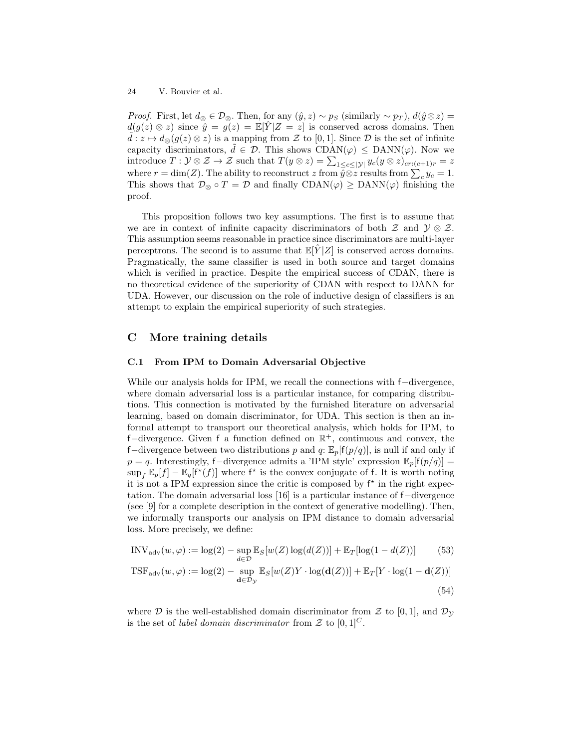*Proof.* First, let  $d_{\otimes} \in \mathcal{D}_{\otimes}$ . Then, for any  $(\hat{y}, z) \sim p_S$  (similarly  $\sim p_T$ ),  $d(\hat{y} \otimes z) =$  $d(g(z) \otimes z)$  since  $\hat{y} = g(z) = \mathbb{E}[Y|Z=z]$  is conserved across domains. Then  $d : z \mapsto d_{\otimes}(g(z) \otimes z)$  is a mapping from Z to [0, 1]. Since D is the set of infinite capacity discriminators,  $\tilde{d} \in \mathcal{D}$ . This shows CDAN( $\varphi$ )  $\leq$  DANN( $\varphi$ ). Now we introduce  $T: \mathcal{Y} \otimes \mathcal{Z} \to \mathcal{Z}$  such that  $T(y \otimes z) = \sum_{1 \leq c \leq |\mathcal{Y}|} y_c(y \otimes z)_{cr:(c+1)r} = z$ where  $r = \dim(Z)$ . The ability to reconstruct z from  $\hat{y} \otimes z$  results from  $\sum_{c} y_c = 1$ . This shows that  $\mathcal{D}_{\otimes} \circ T = \mathcal{D}$  and finally  $CDAN(\varphi) \geq DANN(\varphi)$  finishing the proof.

This proposition follows two key assumptions. The first is to assume that we are in context of infinite capacity discriminators of both  $\mathcal Z$  and  $\mathcal Y \otimes \mathcal Z$ . This assumption seems reasonable in practice since discriminators are multi-layer perceptrons. The second is to assume that  $\mathbb{E}[\hat{Y}|Z]$  is conserved across domains. Pragmatically, the same classifier is used in both source and target domains which is verified in practice. Despite the empirical success of CDAN, there is no theoretical evidence of the superiority of CDAN with respect to DANN for UDA. However, our discussion on the role of inductive design of classifiers is an attempt to explain the empirical superiority of such strategies.

## C More training details

#### C.1 From IPM to Domain Adversarial Objective

While our analysis holds for IPM, we recall the connections with f−divergence, where domain adversarial loss is a particular instance, for comparing distributions. This connection is motivated by the furnished literature on adversarial learning, based on domain discriminator, for UDA. This section is then an informal attempt to transport our theoretical analysis, which holds for IPM, to f-divergence. Given f a function defined on  $\mathbb{R}^+$ , continuous and convex, the f–divergence between two distributions p and q:  $\mathbb{E}_p[f(p/q)]$ , is null if and only if  $p = q$ . Interestingly, f–divergence admits a 'IPM style' expression  $\mathbb{E}_p[f(p/q)] =$  $\sup_f \mathbb{E}_p[f] - \mathbb{E}_q[f^*(f)]$  where  $f^*$  is the convex conjugate of f. It is worth noting it is not a IPM expression since the critic is composed by  $f^*$  in the right expectation. The domain adversarial loss [16] is a particular instance of f−divergence (see [9] for a complete description in the context of generative modelling). Then, we informally transports our analysis on IPM distance to domain adversarial loss. More precisely, we define:

$$
INV_{\text{adv}}(w, \varphi) := \log(2) - \sup_{d \in \mathcal{D}} \mathbb{E}_{S}[w(Z) \log(d(Z))] + \mathbb{E}_{T}[\log(1 - d(Z))]
$$
(53)

$$
TSF_{\text{adv}}(w, \varphi) := \log(2) - \sup_{\mathbf{d} \in \mathcal{D}_{\mathcal{Y}}} \mathbb{E}_{S}[w(Z)Y \cdot \log(\mathbf{d}(Z))] + \mathbb{E}_{T}[Y \cdot \log(1 - \mathbf{d}(Z))]
$$
(54)

where D is the well-established domain discriminator from Z to [0, 1], and  $\mathcal{D}_{\mathcal{Y}}$ is the set of *label domain discriminator* from  $\mathcal Z$  to  $[0,1]^C$ .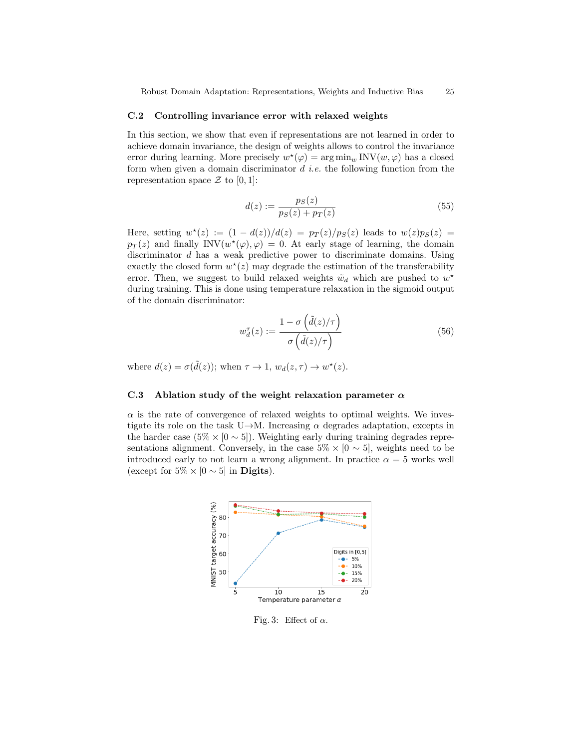#### C.2 Controlling invariance error with relaxed weights

In this section, we show that even if representations are not learned in order to achieve domain invariance, the design of weights allows to control the invariance error during learning. More precisely  $w^*(\varphi) = \arg \min_w \text{INV}(w, \varphi)$  has a closed form when given a domain discriminator  $d$  *i.e.* the following function from the representation space  $\mathcal Z$  to [0, 1]:

$$
d(z) := \frac{p_S(z)}{p_S(z) + p_T(z)}\tag{55}
$$

Here, setting  $w^*(z) := (1 - d(z))/d(z) = p_T(z)/p_S(z)$  leads to  $w(z)p_S(z) =$  $p_T(z)$  and finally INV $(w^{\star}(\varphi), \varphi) = 0$ . At early stage of learning, the domain discriminator d has a weak predictive power to discriminate domains. Using exactly the closed form  $w^*(z)$  may degrade the estimation of the transferability error. Then, we suggest to build relaxed weights  $\tilde{w}_d$  which are pushed to  $w^*$ during training. This is done using temperature relaxation in the sigmoid output of the domain discriminator:

$$
w_d^{\tau}(z) := \frac{1 - \sigma\left(\tilde{d}(z)/\tau\right)}{\sigma\left(\tilde{d}(z)/\tau\right)}\tag{56}
$$

where  $d(z) = \sigma(\tilde{d}(z))$ ; when  $\tau \to 1$ ,  $w_d(z, \tau) \to w^*(z)$ .

#### C.3 Ablation study of the weight relaxation parameter  $\alpha$

 $\alpha$  is the rate of convergence of relaxed weights to optimal weights. We investigate its role on the task U→M. Increasing  $\alpha$  degrades adaptation, excepts in the harder case  $(5\% \times [0 \sim 5])$ . Weighting early during training degrades representations alignment. Conversely, in the case  $5\% \times [0 \sim 5]$ , weights need to be introduced early to not learn a wrong alignment. In practice  $\alpha = 5$  works well (except for  $5\% \times [0 \sim 5]$  in **Digits**).



Fig. 3: Effect of  $\alpha$ .